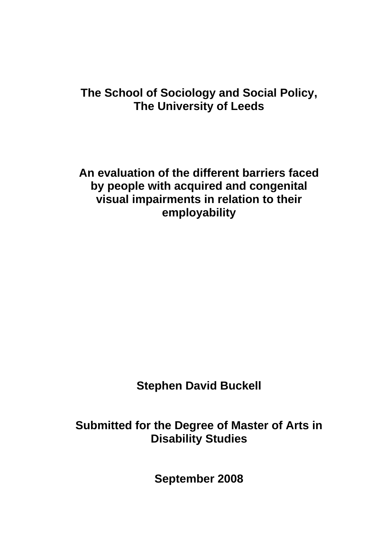# **The School of Sociology and Social Policy, The University of Leeds**

**An evaluation of the different barriers faced by people with acquired and congenital visual impairments in relation to their employability** 

**Stephen David Buckell** 

**Submitted for the Degree of Master of Arts in Disability Studies** 

**September 2008**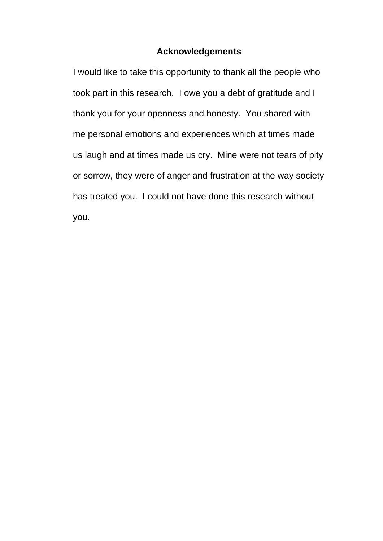## **Acknowledgements**

I would like to take this opportunity to thank all the people who took part in this research. I owe you a debt of gratitude and I thank you for your openness and honesty. You shared with me personal emotions and experiences which at times made us laugh and at times made us cry. Mine were not tears of pity or sorrow, they were of anger and frustration at the way society has treated you. I could not have done this research without you.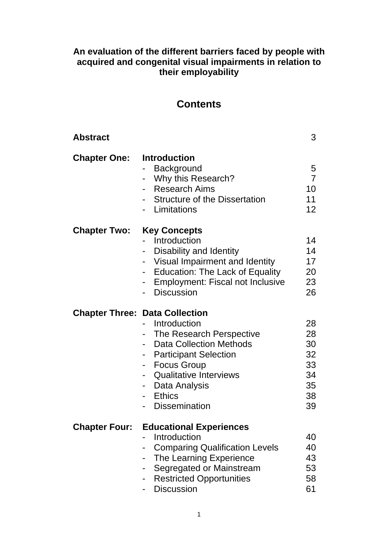# **An evaluation of the different barriers faced by people with acquired and congenital visual impairments in relation to their employability**

# **Contents**

| <b>Abstract</b>      |                                                                                                                                                                                                                                                                      | 3                                                  |
|----------------------|----------------------------------------------------------------------------------------------------------------------------------------------------------------------------------------------------------------------------------------------------------------------|----------------------------------------------------|
| <b>Chapter One:</b>  | <b>Introduction</b><br>Background<br>Why this Research?<br><b>Research Aims</b><br><b>Structure of the Dissertation</b><br>Limitations                                                                                                                               | 5<br>$\overline{7}$<br>10<br>11<br>12 <sup>2</sup> |
| <b>Chapter Two:</b>  | <b>Key Concepts</b><br>Introduction<br>Disability and Identity<br>Visual Impairment and Identity<br><b>Education: The Lack of Equality</b><br><b>Employment: Fiscal not Inclusive</b><br><b>Discussion</b>                                                           | 14<br>14<br>17<br>20<br>23<br>26                   |
|                      | <b>Chapter Three: Data Collection</b><br>Introduction<br>The Research Perspective<br><b>Data Collection Methods</b><br><b>Participant Selection</b><br><b>Focus Group</b><br><b>Qualitative Interviews</b><br>Data Analysis<br><b>Ethics</b><br><b>Dissemination</b> | 28<br>28<br>30<br>32<br>33<br>34<br>35<br>38<br>39 |
| <b>Chapter Four:</b> | <b>Educational Experiences</b><br>Introduction<br><b>Comparing Qualification Levels</b><br>The Learning Experience<br>Segregated or Mainstream<br><b>Restricted Opportunities</b><br><b>Discussion</b>                                                               | 40<br>40<br>43<br>53<br>58<br>61                   |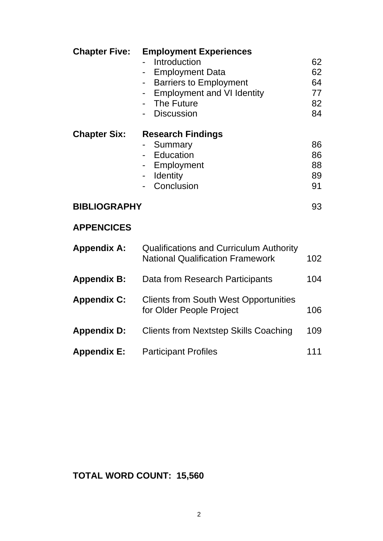| <b>Chapter Five:</b> | <b>Employment Experiences</b>                  |     |
|----------------------|------------------------------------------------|-----|
|                      | Introduction                                   | 62  |
|                      | <b>Employment Data</b>                         | 62  |
|                      | <b>Barriers to Employment</b>                  | 64  |
|                      | <b>Employment and VI Identity</b>              | 77  |
|                      | The Future                                     | 82  |
|                      | <b>Discussion</b>                              | 84  |
| <b>Chapter Six:</b>  | <b>Research Findings</b>                       |     |
|                      | Summary                                        | 86  |
|                      | Education                                      | 86  |
|                      | Employment                                     | 88  |
|                      | <b>Identity</b>                                | 89  |
|                      | Conclusion                                     | 91  |
| <b>BIBLIOGRAPHY</b>  |                                                | 93  |
| <b>APPENCICES</b>    |                                                |     |
| <b>Appendix A:</b>   | <b>Qualifications and Curriculum Authority</b> |     |
|                      | <b>National Qualification Framework</b>        | 102 |
| <b>Appendix B:</b>   | Data from Research Participants                | 104 |
| <b>Appendix C:</b>   | <b>Clients from South West Opportunities</b>   |     |
|                      | for Older People Project                       | 106 |
| <b>Appendix D:</b>   | <b>Clients from Nextstep Skills Coaching</b>   | 109 |
| <b>Appendix E:</b>   | <b>Participant Profiles</b>                    | 111 |

# **TOTAL WORD COUNT: 15,560**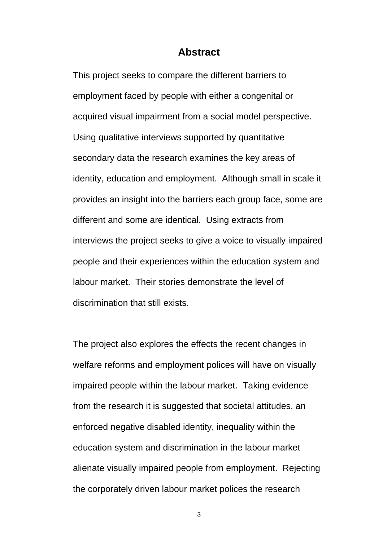#### **Abstract**

This project seeks to compare the different barriers to employment faced by people with either a congenital or acquired visual impairment from a social model perspective. Using qualitative interviews supported by quantitative secondary data the research examines the key areas of identity, education and employment. Although small in scale it provides an insight into the barriers each group face, some are different and some are identical. Using extracts from interviews the project seeks to give a voice to visually impaired people and their experiences within the education system and labour market. Their stories demonstrate the level of discrimination that still exists.

The project also explores the effects the recent changes in welfare reforms and employment polices will have on visually impaired people within the labour market. Taking evidence from the research it is suggested that societal attitudes, an enforced negative disabled identity, inequality within the education system and discrimination in the labour market alienate visually impaired people from employment. Rejecting the corporately driven labour market polices the research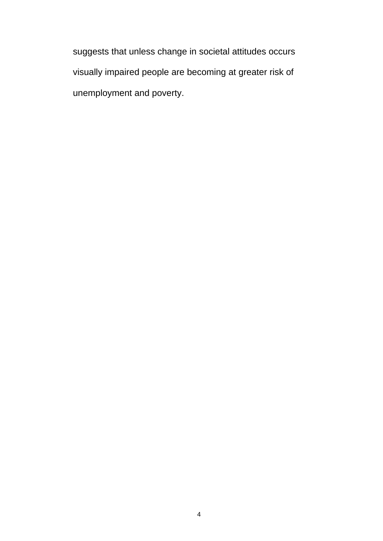suggests that unless change in societal attitudes occurs visually impaired people are becoming at greater risk of unemployment and poverty.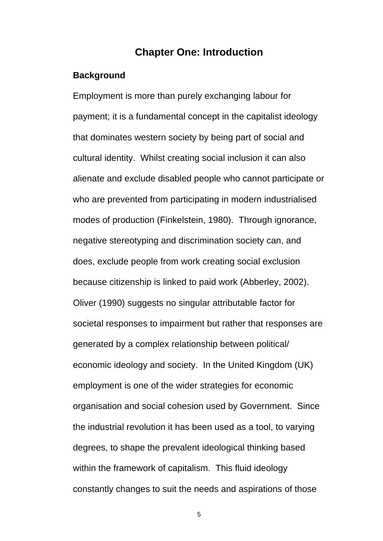## **Chapter One: Introduction**

#### **Background**

Employment is more than purely exchanging labour for payment; it is a fundamental concept in the capitalist ideology that dominates western society by being part of social and cultural identity. Whilst creating social inclusion it can also alienate and exclude disabled people who cannot participate or who are prevented from participating in modern industrialised modes of production (Finkelstein, 1980). Through ignorance, negative stereotyping and discrimination society can, and does, exclude people from work creating social exclusion because citizenship is linked to paid work (Abberley, 2002). Oliver (1990) suggests no singular attributable factor for societal responses to impairment but rather that responses are generated by a complex relationship between political/ economic ideology and society. In the United Kingdom (UK) employment is one of the wider strategies for economic organisation and social cohesion used by Government. Since the industrial revolution it has been used as a tool, to varying degrees, to shape the prevalent ideological thinking based within the framework of capitalism. This fluid ideology constantly changes to suit the needs and aspirations of those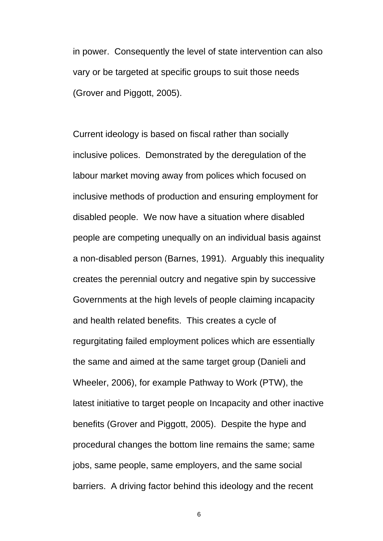in power. Consequently the level of state intervention can also vary or be targeted at specific groups to suit those needs (Grover and Piggott, 2005).

Current ideology is based on fiscal rather than socially inclusive polices. Demonstrated by the deregulation of the labour market moving away from polices which focused on inclusive methods of production and ensuring employment for disabled people. We now have a situation where disabled people are competing unequally on an individual basis against a non-disabled person (Barnes, 1991). Arguably this inequality creates the perennial outcry and negative spin by successive Governments at the high levels of people claiming incapacity and health related benefits. This creates a cycle of regurgitating failed employment polices which are essentially the same and aimed at the same target group (Danieli and Wheeler, 2006), for example Pathway to Work (PTW), the latest initiative to target people on Incapacity and other inactive benefits (Grover and Piggott, 2005). Despite the hype and procedural changes the bottom line remains the same; same jobs, same people, same employers, and the same social barriers. A driving factor behind this ideology and the recent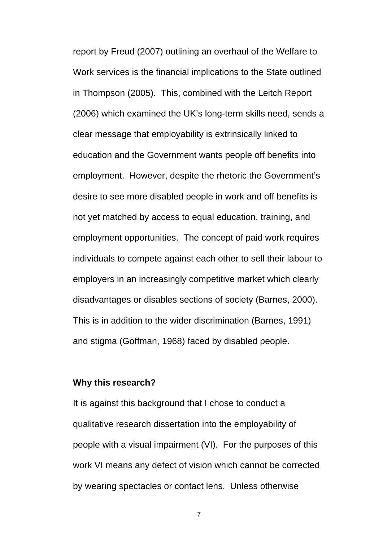report by Freud (2007) outlining an overhaul of the Welfare to Work services is the financial implications to the State outlined in Thompson (2005). This, combined with the Leitch Report (2006) which examined the UK's long-term skills need, sends a clear message that employability is extrinsically linked to education and the Government wants people off benefits into employment. However, despite the rhetoric the Government's desire to see more disabled people in work and off benefits is not yet matched by access to equal education, training, and employment opportunities. The concept of paid work requires individuals to compete against each other to sell their labour to employers in an increasingly competitive market which clearly disadvantages or disables sections of society (Barnes, 2000). This is in addition to the wider discrimination (Barnes, 1991) and stigma (Goffman, 1968) faced by disabled people.

#### **Why this research?**

It is against this background that I chose to conduct a qualitative research dissertation into the employability of people with a visual impairment (VI). For the purposes of this work VI means any defect of vision which cannot be corrected by wearing spectacles or contact lens. Unless otherwise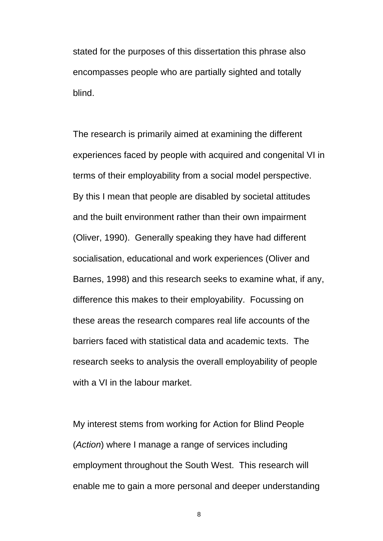stated for the purposes of this dissertation this phrase also encompasses people who are partially sighted and totally blind.

The research is primarily aimed at examining the different experiences faced by people with acquired and congenital VI in terms of their employability from a social model perspective. By this I mean that people are disabled by societal attitudes and the built environment rather than their own impairment (Oliver, 1990). Generally speaking they have had different socialisation, educational and work experiences (Oliver and Barnes, 1998) and this research seeks to examine what, if any, difference this makes to their employability. Focussing on these areas the research compares real life accounts of the barriers faced with statistical data and academic texts. The research seeks to analysis the overall employability of people with a VI in the labour market.

My interest stems from working for Action for Blind People (*Action*) where I manage a range of services including employment throughout the South West. This research will enable me to gain a more personal and deeper understanding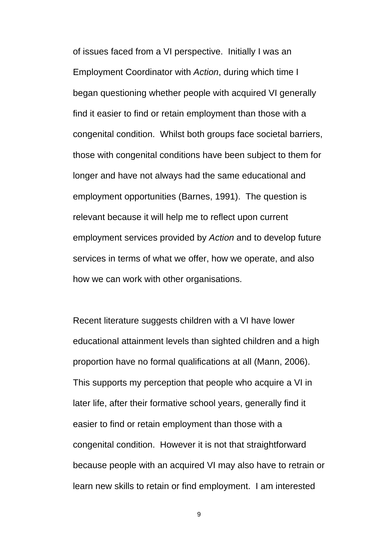of issues faced from a VI perspective. Initially I was an Employment Coordinator with *Action*, during which time I began questioning whether people with acquired VI generally find it easier to find or retain employment than those with a congenital condition. Whilst both groups face societal barriers, those with congenital conditions have been subject to them for longer and have not always had the same educational and employment opportunities (Barnes, 1991). The question is relevant because it will help me to reflect upon current employment services provided by *Action* and to develop future services in terms of what we offer, how we operate, and also how we can work with other organisations.

Recent literature suggests children with a VI have lower educational attainment levels than sighted children and a high proportion have no formal qualifications at all (Mann, 2006). This supports my perception that people who acquire a VI in later life, after their formative school years, generally find it easier to find or retain employment than those with a congenital condition. However it is not that straightforward because people with an acquired VI may also have to retrain or learn new skills to retain or find employment. I am interested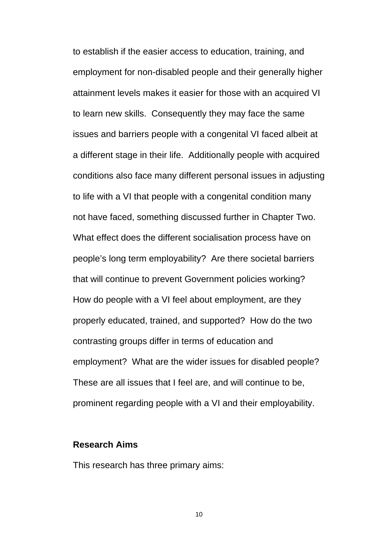to establish if the easier access to education, training, and employment for non-disabled people and their generally higher attainment levels makes it easier for those with an acquired VI to learn new skills. Consequently they may face the same issues and barriers people with a congenital VI faced albeit at a different stage in their life. Additionally people with acquired conditions also face many different personal issues in adjusting to life with a VI that people with a congenital condition many not have faced, something discussed further in Chapter Two. What effect does the different socialisation process have on people's long term employability? Are there societal barriers that will continue to prevent Government policies working? How do people with a VI feel about employment, are they properly educated, trained, and supported? How do the two contrasting groups differ in terms of education and employment? What are the wider issues for disabled people? These are all issues that I feel are, and will continue to be, prominent regarding people with a VI and their employability.

#### **Research Aims**

This research has three primary aims: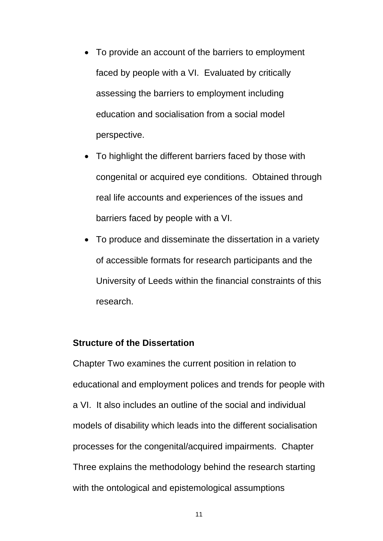- To provide an account of the barriers to employment faced by people with a VI. Evaluated by critically assessing the barriers to employment including education and socialisation from a social model perspective.
- To highlight the different barriers faced by those with congenital or acquired eye conditions. Obtained through real life accounts and experiences of the issues and barriers faced by people with a VI.
- To produce and disseminate the dissertation in a variety of accessible formats for research participants and the University of Leeds within the financial constraints of this research.

### **Structure of the Dissertation**

Chapter Two examines the current position in relation to educational and employment polices and trends for people with a VI. It also includes an outline of the social and individual models of disability which leads into the different socialisation processes for the congenital/acquired impairments. Chapter Three explains the methodology behind the research starting with the ontological and epistemological assumptions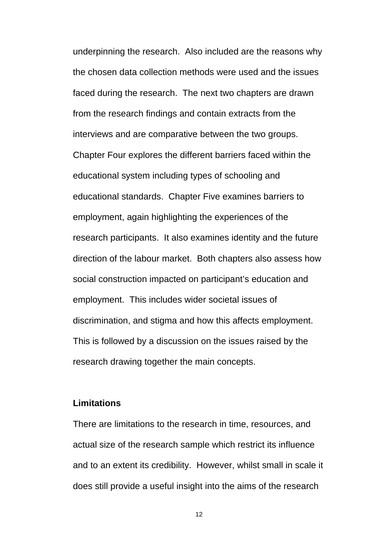underpinning the research. Also included are the reasons why the chosen data collection methods were used and the issues faced during the research. The next two chapters are drawn from the research findings and contain extracts from the interviews and are comparative between the two groups. Chapter Four explores the different barriers faced within the educational system including types of schooling and educational standards. Chapter Five examines barriers to employment, again highlighting the experiences of the research participants. It also examines identity and the future direction of the labour market. Both chapters also assess how social construction impacted on participant's education and employment. This includes wider societal issues of discrimination, and stigma and how this affects employment. This is followed by a discussion on the issues raised by the research drawing together the main concepts.

#### **Limitations**

There are limitations to the research in time, resources, and actual size of the research sample which restrict its influence and to an extent its credibility. However, whilst small in scale it does still provide a useful insight into the aims of the research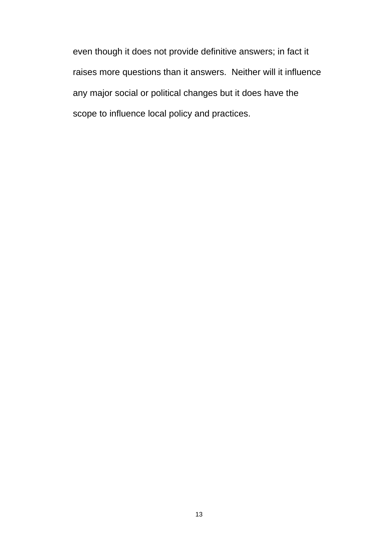even though it does not provide definitive answers; in fact it raises more questions than it answers. Neither will it influence any major social or political changes but it does have the scope to influence local policy and practices.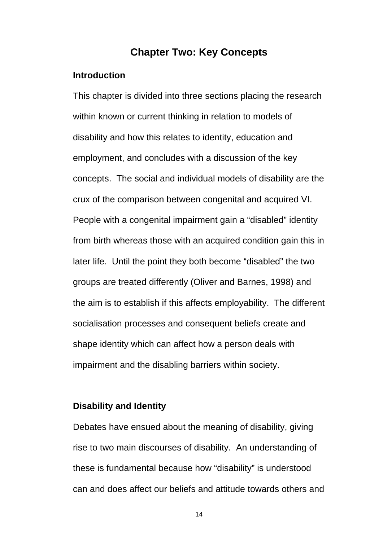## **Chapter Two: Key Concepts**

#### **Introduction**

This chapter is divided into three sections placing the research within known or current thinking in relation to models of disability and how this relates to identity, education and employment, and concludes with a discussion of the key concepts. The social and individual models of disability are the crux of the comparison between congenital and acquired VI. People with a congenital impairment gain a "disabled" identity from birth whereas those with an acquired condition gain this in later life. Until the point they both become "disabled" the two groups are treated differently (Oliver and Barnes, 1998) and the aim is to establish if this affects employability. The different socialisation processes and consequent beliefs create and shape identity which can affect how a person deals with impairment and the disabling barriers within society.

#### **Disability and Identity**

Debates have ensued about the meaning of disability, giving rise to two main discourses of disability. An understanding of these is fundamental because how "disability" is understood can and does affect our beliefs and attitude towards others and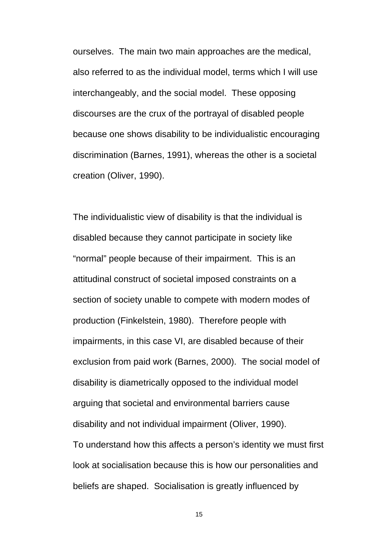ourselves. The main two main approaches are the medical, also referred to as the individual model, terms which I will use interchangeably, and the social model. These opposing discourses are the crux of the portrayal of disabled people because one shows disability to be individualistic encouraging discrimination (Barnes, 1991), whereas the other is a societal creation (Oliver, 1990).

The individualistic view of disability is that the individual is disabled because they cannot participate in society like "normal" people because of their impairment. This is an attitudinal construct of societal imposed constraints on a section of society unable to compete with modern modes of production (Finkelstein, 1980). Therefore people with impairments, in this case VI, are disabled because of their exclusion from paid work (Barnes, 2000). The social model of disability is diametrically opposed to the individual model arguing that societal and environmental barriers cause disability and not individual impairment (Oliver, 1990). To understand how this affects a person's identity we must first look at socialisation because this is how our personalities and beliefs are shaped. Socialisation is greatly influenced by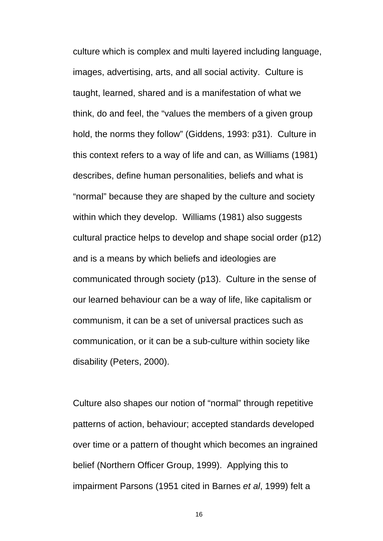culture which is complex and multi layered including language, images, advertising, arts, and all social activity. Culture is taught, learned, shared and is a manifestation of what we think, do and feel, the "values the members of a given group hold, the norms they follow" (Giddens, 1993: p31). Culture in this context refers to a way of life and can, as Williams (1981) describes, define human personalities, beliefs and what is "normal" because they are shaped by the culture and society within which they develop. Williams (1981) also suggests cultural practice helps to develop and shape social order (p12) and is a means by which beliefs and ideologies are communicated through society (p13). Culture in the sense of our learned behaviour can be a way of life, like capitalism or communism, it can be a set of universal practices such as communication, or it can be a sub-culture within society like disability (Peters, 2000).

Culture also shapes our notion of "normal" through repetitive patterns of action, behaviour; accepted standards developed over time or a pattern of thought which becomes an ingrained belief (Northern Officer Group, 1999). Applying this to impairment Parsons (1951 cited in Barnes *et al*, 1999) felt a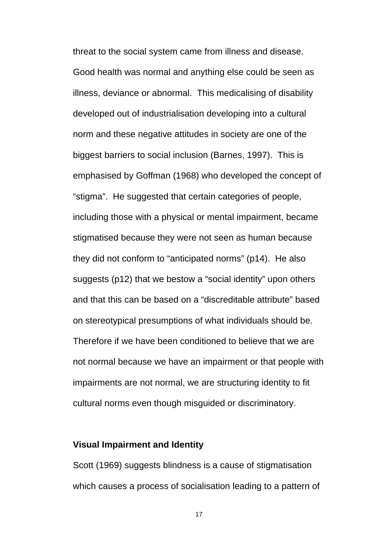threat to the social system came from illness and disease. Good health was normal and anything else could be seen as illness, deviance or abnormal. This medicalising of disability developed out of industrialisation developing into a cultural norm and these negative attitudes in society are one of the biggest barriers to social inclusion (Barnes, 1997). This is emphasised by Goffman (1968) who developed the concept of "stigma". He suggested that certain categories of people, including those with a physical or mental impairment, became stigmatised because they were not seen as human because they did not conform to "anticipated norms" (p14). He also suggests (p12) that we bestow a "social identity" upon others and that this can be based on a "discreditable attribute" based on stereotypical presumptions of what individuals should be. Therefore if we have been conditioned to believe that we are not normal because we have an impairment or that people with impairments are not normal, we are structuring identity to fit cultural norms even though misguided or discriminatory.

#### **Visual Impairment and Identity**

Scott (1969) suggests blindness is a cause of stigmatisation which causes a process of socialisation leading to a pattern of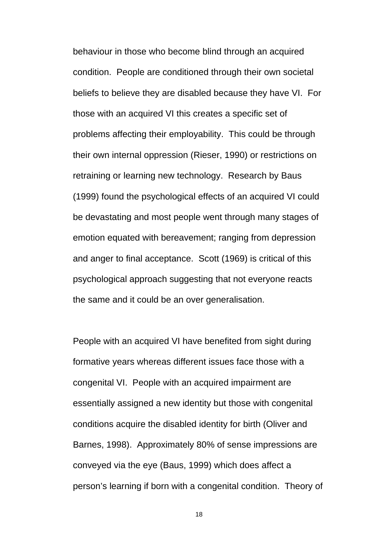behaviour in those who become blind through an acquired condition. People are conditioned through their own societal beliefs to believe they are disabled because they have VI. For those with an acquired VI this creates a specific set of problems affecting their employability. This could be through their own internal oppression (Rieser, 1990) or restrictions on retraining or learning new technology. Research by Baus (1999) found the psychological effects of an acquired VI could be devastating and most people went through many stages of emotion equated with bereavement; ranging from depression and anger to final acceptance. Scott (1969) is critical of this psychological approach suggesting that not everyone reacts the same and it could be an over generalisation.

People with an acquired VI have benefited from sight during formative years whereas different issues face those with a congenital VI. People with an acquired impairment are essentially assigned a new identity but those with congenital conditions acquire the disabled identity for birth (Oliver and Barnes, 1998). Approximately 80% of sense impressions are conveyed via the eye (Baus, 1999) which does affect a person's learning if born with a congenital condition. Theory of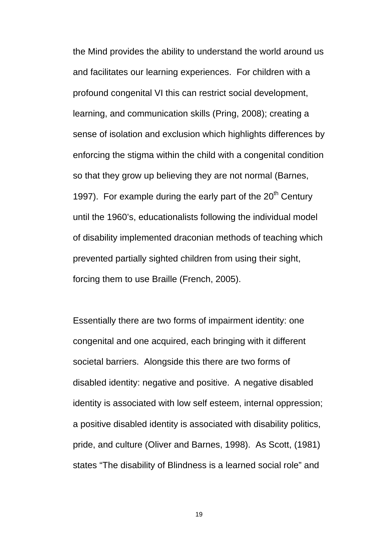the Mind provides the ability to understand the world around us and facilitates our learning experiences. For children with a profound congenital VI this can restrict social development, learning, and communication skills (Pring, 2008); creating a sense of isolation and exclusion which highlights differences by enforcing the stigma within the child with a congenital condition so that they grow up believing they are not normal (Barnes, 1997). For example during the early part of the  $20<sup>th</sup>$  Century until the 1960's, educationalists following the individual model of disability implemented draconian methods of teaching which prevented partially sighted children from using their sight, forcing them to use Braille (French, 2005).

Essentially there are two forms of impairment identity: one congenital and one acquired, each bringing with it different societal barriers. Alongside this there are two forms of disabled identity: negative and positive. A negative disabled identity is associated with low self esteem, internal oppression; a positive disabled identity is associated with disability politics, pride, and culture (Oliver and Barnes, 1998). As Scott, (1981) states "The disability of Blindness is a learned social role" and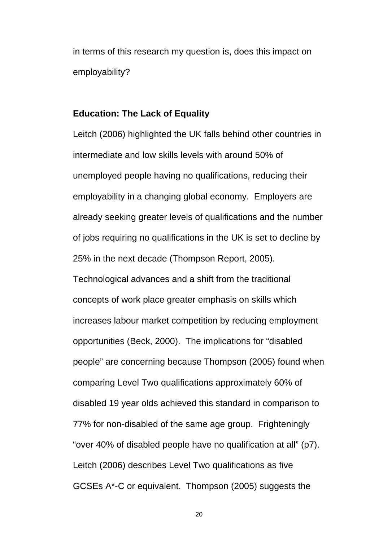in terms of this research my question is, does this impact on employability?

#### **Education: The Lack of Equality**

Leitch (2006) highlighted the UK falls behind other countries in intermediate and low skills levels with around 50% of unemployed people having no qualifications, reducing their employability in a changing global economy. Employers are already seeking greater levels of qualifications and the number of jobs requiring no qualifications in the UK is set to decline by 25% in the next decade (Thompson Report, 2005).

Technological advances and a shift from the traditional concepts of work place greater emphasis on skills which increases labour market competition by reducing employment opportunities (Beck, 2000). The implications for "disabled people" are concerning because Thompson (2005) found when comparing Level Two qualifications approximately 60% of disabled 19 year olds achieved this standard in comparison to 77% for non-disabled of the same age group. Frighteningly "over 40% of disabled people have no qualification at all" (p7). Leitch (2006) describes Level Two qualifications as five GCSEs A\*-C or equivalent. Thompson (2005) suggests the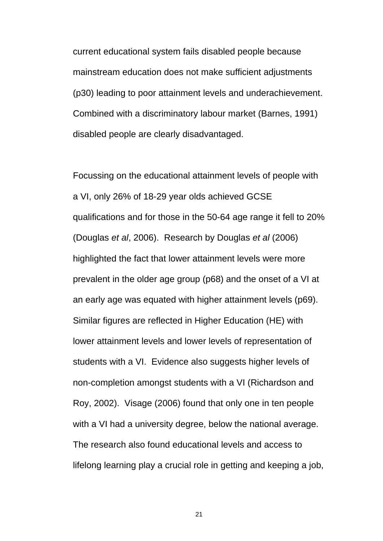current educational system fails disabled people because mainstream education does not make sufficient adjustments (p30) leading to poor attainment levels and underachievement. Combined with a discriminatory labour market (Barnes, 1991) disabled people are clearly disadvantaged.

Focussing on the educational attainment levels of people with a VI, only 26% of 18-29 year olds achieved GCSE qualifications and for those in the 50-64 age range it fell to 20% (Douglas *et al*, 2006). Research by Douglas *et al* (2006) highlighted the fact that lower attainment levels were more prevalent in the older age group (p68) and the onset of a VI at an early age was equated with higher attainment levels (p69). Similar figures are reflected in Higher Education (HE) with lower attainment levels and lower levels of representation of students with a VI. Evidence also suggests higher levels of non-completion amongst students with a VI (Richardson and Roy, 2002). Visage (2006) found that only one in ten people with a VI had a university degree, below the national average. The research also found educational levels and access to lifelong learning play a crucial role in getting and keeping a job,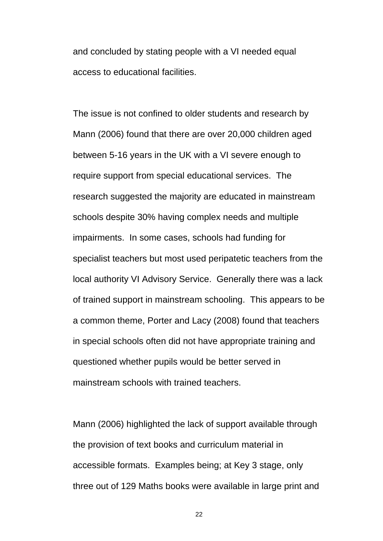and concluded by stating people with a VI needed equal access to educational facilities.

The issue is not confined to older students and research by Mann (2006) found that there are over 20,000 children aged between 5-16 years in the UK with a VI severe enough to require support from special educational services. The research suggested the majority are educated in mainstream schools despite 30% having complex needs and multiple impairments. In some cases, schools had funding for specialist teachers but most used peripatetic teachers from the local authority VI Advisory Service. Generally there was a lack of trained support in mainstream schooling. This appears to be a common theme, Porter and Lacy (2008) found that teachers in special schools often did not have appropriate training and questioned whether pupils would be better served in mainstream schools with trained teachers.

Mann (2006) highlighted the lack of support available through the provision of text books and curriculum material in accessible formats. Examples being; at Key 3 stage, only three out of 129 Maths books were available in large print and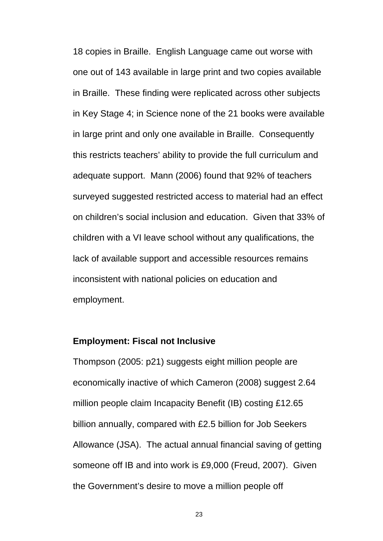18 copies in Braille. English Language came out worse with one out of 143 available in large print and two copies available in Braille. These finding were replicated across other subjects in Key Stage 4; in Science none of the 21 books were available in large print and only one available in Braille. Consequently this restricts teachers' ability to provide the full curriculum and adequate support. Mann (2006) found that 92% of teachers surveyed suggested restricted access to material had an effect on children's social inclusion and education. Given that 33% of children with a VI leave school without any qualifications, the lack of available support and accessible resources remains inconsistent with national policies on education and employment.

#### **Employment: Fiscal not Inclusive**

Thompson (2005: p21) suggests eight million people are economically inactive of which Cameron (2008) suggest 2.64 million people claim Incapacity Benefit (IB) costing £12.65 billion annually, compared with £2.5 billion for Job Seekers Allowance (JSA). The actual annual financial saving of getting someone off IB and into work is £9,000 (Freud, 2007). Given the Government's desire to move a million people off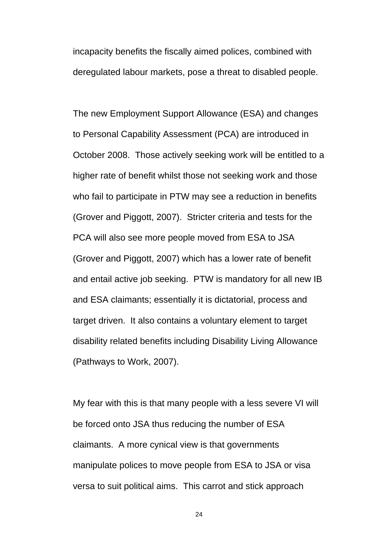incapacity benefits the fiscally aimed polices, combined with deregulated labour markets, pose a threat to disabled people.

The new Employment Support Allowance (ESA) and changes to Personal Capability Assessment (PCA) are introduced in October 2008. Those actively seeking work will be entitled to a higher rate of benefit whilst those not seeking work and those who fail to participate in PTW may see a reduction in benefits (Grover and Piggott, 2007). Stricter criteria and tests for the PCA will also see more people moved from ESA to JSA (Grover and Piggott, 2007) which has a lower rate of benefit and entail active job seeking. PTW is mandatory for all new IB and ESA claimants; essentially it is dictatorial, process and target driven. It also contains a voluntary element to target disability related benefits including Disability Living Allowance (Pathways to Work, 2007).

My fear with this is that many people with a less severe VI will be forced onto JSA thus reducing the number of ESA claimants. A more cynical view is that governments manipulate polices to move people from ESA to JSA or visa versa to suit political aims. This carrot and stick approach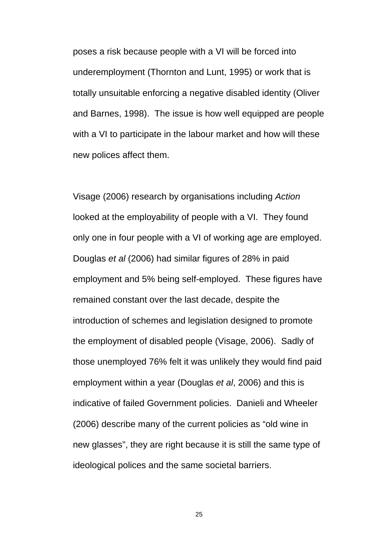poses a risk because people with a VI will be forced into underemployment (Thornton and Lunt, 1995) or work that is totally unsuitable enforcing a negative disabled identity (Oliver and Barnes, 1998). The issue is how well equipped are people with a VI to participate in the labour market and how will these new polices affect them.

Visage (2006) research by organisations including *Action* looked at the employability of people with a VI. They found only one in four people with a VI of working age are employed. Douglas *et al* (2006) had similar figures of 28% in paid employment and 5% being self-employed. These figures have remained constant over the last decade, despite the introduction of schemes and legislation designed to promote the employment of disabled people (Visage, 2006). Sadly of those unemployed 76% felt it was unlikely they would find paid employment within a year (Douglas *et al*, 2006) and this is indicative of failed Government policies. Danieli and Wheeler (2006) describe many of the current policies as "old wine in new glasses", they are right because it is still the same type of ideological polices and the same societal barriers.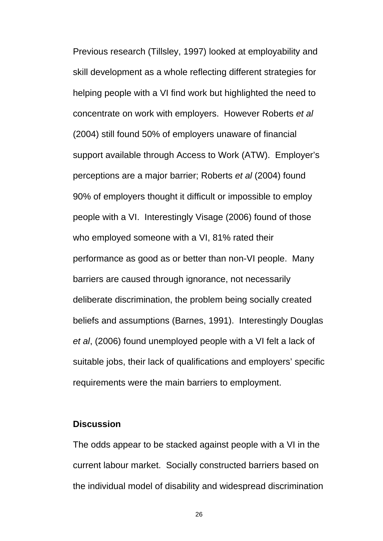Previous research (Tillsley, 1997) looked at employability and skill development as a whole reflecting different strategies for helping people with a VI find work but highlighted the need to concentrate on work with employers. However Roberts *et al* (2004) still found 50% of employers unaware of financial support available through Access to Work (ATW). Employer's perceptions are a major barrier; Roberts *et al* (2004) found 90% of employers thought it difficult or impossible to employ people with a VI. Interestingly Visage (2006) found of those who employed someone with a VI, 81% rated their performance as good as or better than non-VI people. Many barriers are caused through ignorance, not necessarily deliberate discrimination, the problem being socially created beliefs and assumptions (Barnes, 1991). Interestingly Douglas *et al*, (2006) found unemployed people with a VI felt a lack of suitable jobs, their lack of qualifications and employers' specific requirements were the main barriers to employment.

#### **Discussion**

The odds appear to be stacked against people with a VI in the current labour market. Socially constructed barriers based on the individual model of disability and widespread discrimination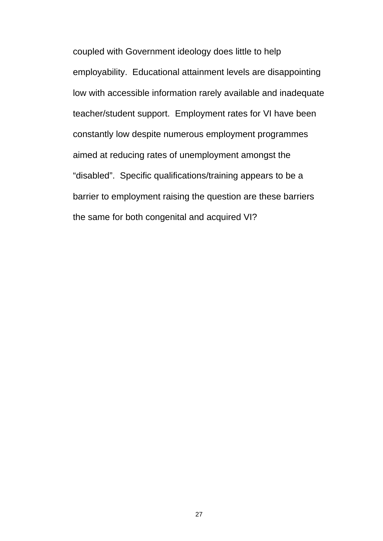coupled with Government ideology does little to help employability. Educational attainment levels are disappointing low with accessible information rarely available and inadequate teacher/student support. Employment rates for VI have been constantly low despite numerous employment programmes aimed at reducing rates of unemployment amongst the "disabled". Specific qualifications/training appears to be a barrier to employment raising the question are these barriers the same for both congenital and acquired VI?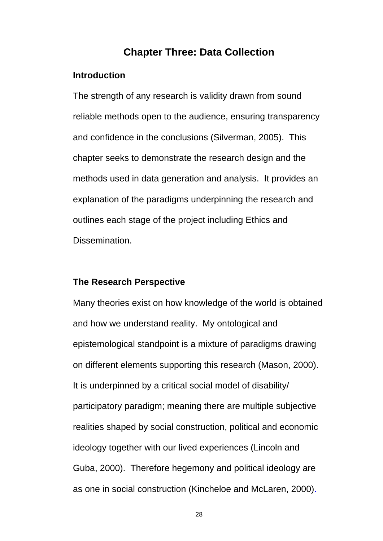# **Chapter Three: Data Collection**

#### **Introduction**

The strength of any research is validity drawn from sound reliable methods open to the audience, ensuring transparency and confidence in the conclusions (Silverman, 2005). This chapter seeks to demonstrate the research design and the methods used in data generation and analysis. It provides an explanation of the paradigms underpinning the research and outlines each stage of the project including Ethics and Dissemination.

#### **The Research Perspective**

Many theories exist on how knowledge of the world is obtained and how we understand reality. My ontological and epistemological standpoint is a mixture of paradigms drawing on different elements supporting this research (Mason, 2000). It is underpinned by a critical social model of disability/ participatory paradigm; meaning there are multiple subjective realities shaped by social construction, political and economic ideology together with our lived experiences (Lincoln and Guba, 2000). Therefore hegemony and political ideology are as one in social construction (Kincheloe and McLaren, 2000).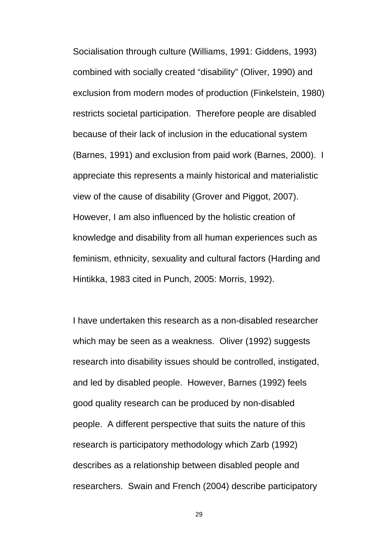Socialisation through culture (Williams, 1991: Giddens, 1993) combined with socially created "disability" (Oliver, 1990) and exclusion from modern modes of production (Finkelstein, 1980) restricts societal participation. Therefore people are disabled because of their lack of inclusion in the educational system (Barnes, 1991) and exclusion from paid work (Barnes, 2000). I appreciate this represents a mainly historical and materialistic view of the cause of disability (Grover and Piggot, 2007). However, I am also influenced by the holistic creation of knowledge and disability from all human experiences such as feminism, ethnicity, sexuality and cultural factors (Harding and Hintikka, 1983 cited in Punch, 2005: Morris, 1992).

I have undertaken this research as a non-disabled researcher which may be seen as a weakness. Oliver (1992) suggests research into disability issues should be controlled, instigated, and led by disabled people. However, Barnes (1992) feels good quality research can be produced by non-disabled people. A different perspective that suits the nature of this research is participatory methodology which Zarb (1992) describes as a relationship between disabled people and researchers. Swain and French (2004) describe participatory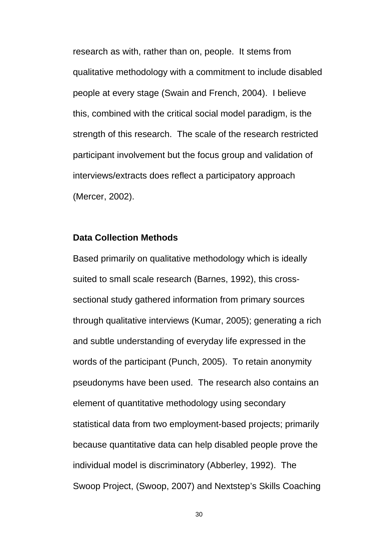research as with, rather than on, people. It stems from qualitative methodology with a commitment to include disabled people at every stage (Swain and French, 2004). I believe this, combined with the critical social model paradigm, is the strength of this research. The scale of the research restricted participant involvement but the focus group and validation of interviews/extracts does reflect a participatory approach (Mercer, 2002).

#### **Data Collection Methods**

Based primarily on qualitative methodology which is ideally suited to small scale research (Barnes, 1992), this crosssectional study gathered information from primary sources through qualitative interviews (Kumar, 2005); generating a rich and subtle understanding of everyday life expressed in the words of the participant (Punch, 2005). To retain anonymity pseudonyms have been used. The research also contains an element of quantitative methodology using secondary statistical data from two employment-based projects; primarily because quantitative data can help disabled people prove the individual model is discriminatory (Abberley, 1992). The Swoop Project, (Swoop, 2007) and Nextstep's Skills Coaching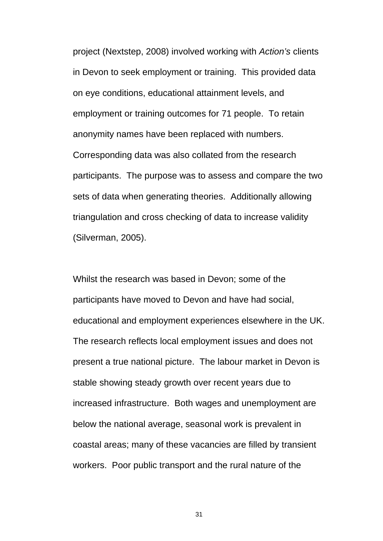project (Nextstep, 2008) involved working with *Action's* clients in Devon to seek employment or training. This provided data on eye conditions, educational attainment levels, and employment or training outcomes for 71 people. To retain anonymity names have been replaced with numbers. Corresponding data was also collated from the research participants. The purpose was to assess and compare the two sets of data when generating theories. Additionally allowing triangulation and cross checking of data to increase validity (Silverman, 2005).

Whilst the research was based in Devon; some of the participants have moved to Devon and have had social, educational and employment experiences elsewhere in the UK. The research reflects local employment issues and does not present a true national picture. The labour market in Devon is stable showing steady growth over recent years due to increased infrastructure. Both wages and unemployment are below the national average, seasonal work is prevalent in coastal areas; many of these vacancies are filled by transient workers. Poor public transport and the rural nature of the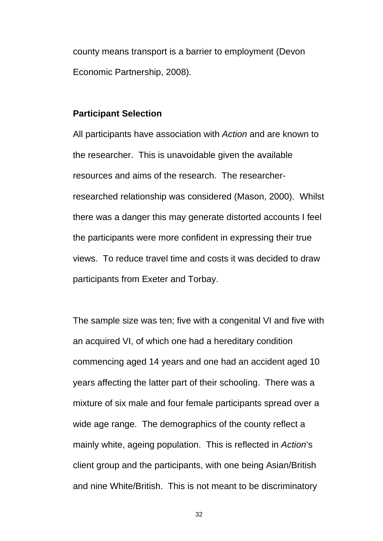county means transport is a barrier to employment (Devon Economic Partnership, 2008).

#### **Participant Selection**

All participants have association with *Action* and are known to the researcher. This is unavoidable given the available resources and aims of the research. The researcherresearched relationship was considered (Mason, 2000). Whilst there was a danger this may generate distorted accounts I feel the participants were more confident in expressing their true views. To reduce travel time and costs it was decided to draw participants from Exeter and Torbay.

The sample size was ten; five with a congenital VI and five with an acquired VI, of which one had a hereditary condition commencing aged 14 years and one had an accident aged 10 years affecting the latter part of their schooling. There was a mixture of six male and four female participants spread over a wide age range. The demographics of the county reflect a mainly white, ageing population. This is reflected in *Action*'s client group and the participants, with one being Asian/British and nine White/British. This is not meant to be discriminatory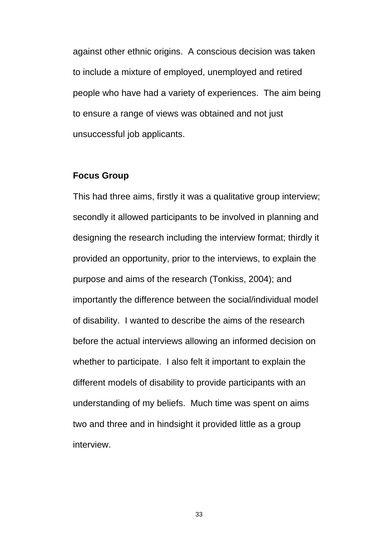against other ethnic origins. A conscious decision was taken to include a mixture of employed, unemployed and retired people who have had a variety of experiences. The aim being to ensure a range of views was obtained and not just unsuccessful job applicants.

#### **Focus Group**

This had three aims, firstly it was a qualitative group interview; secondly it allowed participants to be involved in planning and designing the research including the interview format; thirdly it provided an opportunity, prior to the interviews, to explain the purpose and aims of the research (Tonkiss, 2004); and importantly the difference between the social/individual model of disability. I wanted to describe the aims of the research before the actual interviews allowing an informed decision on whether to participate. I also felt it important to explain the different models of disability to provide participants with an understanding of my beliefs. Much time was spent on aims two and three and in hindsight it provided little as a group interview.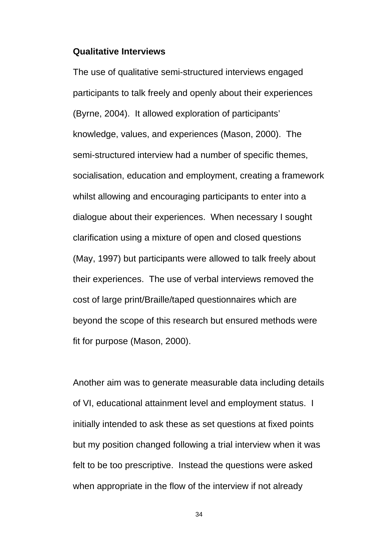#### **Qualitative Interviews**

The use of qualitative semi-structured interviews engaged participants to talk freely and openly about their experiences (Byrne, 2004). It allowed exploration of participants' knowledge, values, and experiences (Mason, 2000). The semi-structured interview had a number of specific themes, socialisation, education and employment, creating a framework whilst allowing and encouraging participants to enter into a dialogue about their experiences. When necessary I sought clarification using a mixture of open and closed questions (May, 1997) but participants were allowed to talk freely about their experiences. The use of verbal interviews removed the cost of large print/Braille/taped questionnaires which are beyond the scope of this research but ensured methods were fit for purpose (Mason, 2000).

Another aim was to generate measurable data including details of VI, educational attainment level and employment status. I initially intended to ask these as set questions at fixed points but my position changed following a trial interview when it was felt to be too prescriptive. Instead the questions were asked when appropriate in the flow of the interview if not already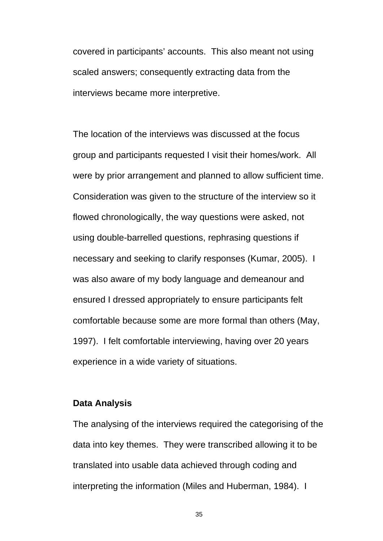covered in participants' accounts. This also meant not using scaled answers; consequently extracting data from the interviews became more interpretive.

The location of the interviews was discussed at the focus group and participants requested I visit their homes/work. All were by prior arrangement and planned to allow sufficient time. Consideration was given to the structure of the interview so it flowed chronologically, the way questions were asked, not using double-barrelled questions, rephrasing questions if necessary and seeking to clarify responses (Kumar, 2005). I was also aware of my body language and demeanour and ensured I dressed appropriately to ensure participants felt comfortable because some are more formal than others (May, 1997). I felt comfortable interviewing, having over 20 years experience in a wide variety of situations.

### **Data Analysis**

The analysing of the interviews required the categorising of the data into key themes. They were transcribed allowing it to be translated into usable data achieved through coding and interpreting the information (Miles and Huberman, 1984). I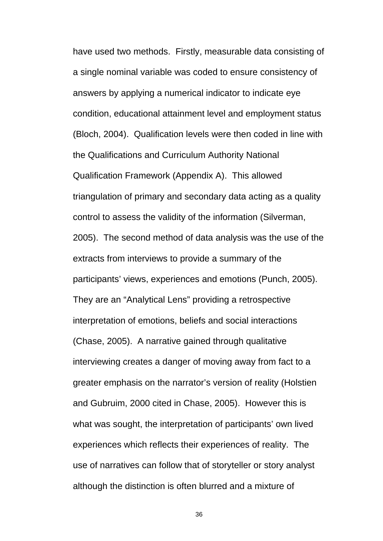have used two methods. Firstly, measurable data consisting of a single nominal variable was coded to ensure consistency of answers by applying a numerical indicator to indicate eye condition, educational attainment level and employment status (Bloch, 2004). Qualification levels were then coded in line with the Qualifications and Curriculum Authority National Qualification Framework (Appendix A). This allowed triangulation of primary and secondary data acting as a quality control to assess the validity of the information (Silverman, 2005). The second method of data analysis was the use of the extracts from interviews to provide a summary of the participants' views, experiences and emotions (Punch, 2005). They are an "Analytical Lens" providing a retrospective interpretation of emotions, beliefs and social interactions (Chase, 2005). A narrative gained through qualitative interviewing creates a danger of moving away from fact to a greater emphasis on the narrator's version of reality (Holstien and Gubruim, 2000 cited in Chase, 2005). However this is what was sought, the interpretation of participants' own lived experiences which reflects their experiences of reality. The use of narratives can follow that of storyteller or story analyst although the distinction is often blurred and a mixture of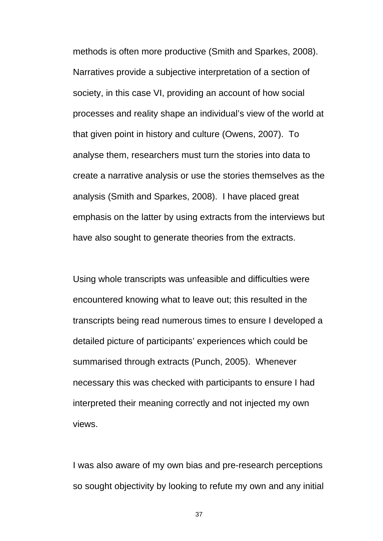methods is often more productive (Smith and Sparkes, 2008). Narratives provide a subjective interpretation of a section of society, in this case VI, providing an account of how social processes and reality shape an individual's view of the world at that given point in history and culture (Owens, 2007). To analyse them, researchers must turn the stories into data to create a narrative analysis or use the stories themselves as the analysis (Smith and Sparkes, 2008). I have placed great emphasis on the latter by using extracts from the interviews but have also sought to generate theories from the extracts.

Using whole transcripts was unfeasible and difficulties were encountered knowing what to leave out; this resulted in the transcripts being read numerous times to ensure I developed a detailed picture of participants' experiences which could be summarised through extracts (Punch, 2005). Whenever necessary this was checked with participants to ensure I had interpreted their meaning correctly and not injected my own views.

I was also aware of my own bias and pre-research perceptions so sought objectivity by looking to refute my own and any initial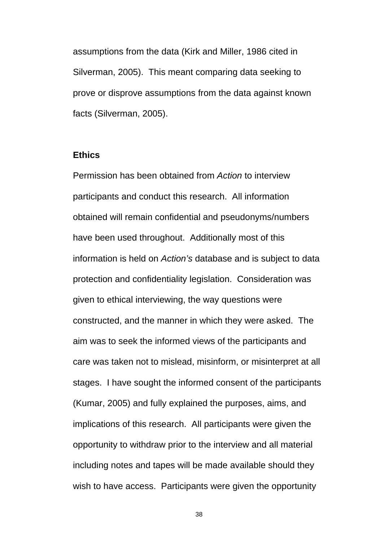assumptions from the data (Kirk and Miller, 1986 cited in Silverman, 2005). This meant comparing data seeking to prove or disprove assumptions from the data against known facts (Silverman, 2005).

## **Ethics**

Permission has been obtained from *Action* to interview participants and conduct this research. All information obtained will remain confidential and pseudonyms/numbers have been used throughout. Additionally most of this information is held on *Action's* database and is subject to data protection and confidentiality legislation. Consideration was given to ethical interviewing, the way questions were constructed, and the manner in which they were asked. The aim was to seek the informed views of the participants and care was taken not to mislead, misinform, or misinterpret at all stages. I have sought the informed consent of the participants (Kumar, 2005) and fully explained the purposes, aims, and implications of this research. All participants were given the opportunity to withdraw prior to the interview and all material including notes and tapes will be made available should they wish to have access. Participants were given the opportunity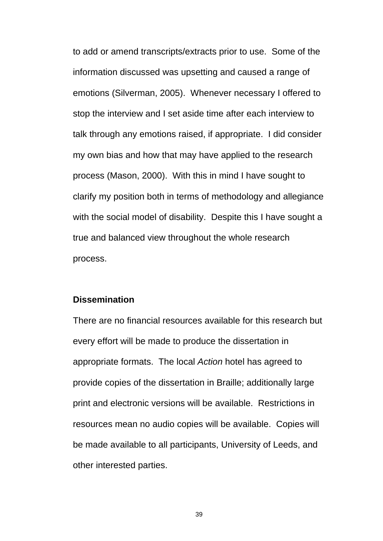to add or amend transcripts/extracts prior to use. Some of the information discussed was upsetting and caused a range of emotions (Silverman, 2005). Whenever necessary I offered to stop the interview and I set aside time after each interview to talk through any emotions raised, if appropriate. I did consider my own bias and how that may have applied to the research process (Mason, 2000). With this in mind I have sought to clarify my position both in terms of methodology and allegiance with the social model of disability. Despite this I have sought a true and balanced view throughout the whole research process.

## **Dissemination**

There are no financial resources available for this research but every effort will be made to produce the dissertation in appropriate formats. The local *Action* hotel has agreed to provide copies of the dissertation in Braille; additionally large print and electronic versions will be available. Restrictions in resources mean no audio copies will be available. Copies will be made available to all participants, University of Leeds, and other interested parties.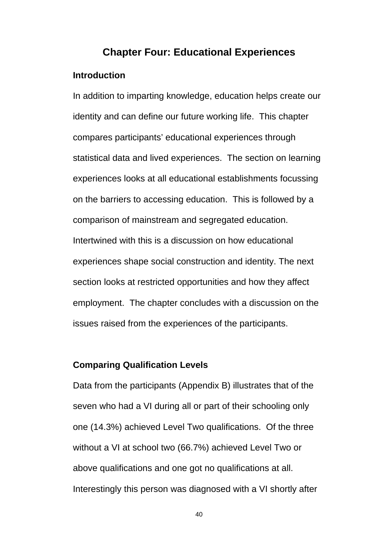# **Chapter Four: Educational Experiences**

## **Introduction**

In addition to imparting knowledge, education helps create our identity and can define our future working life. This chapter compares participants' educational experiences through statistical data and lived experiences. The section on learning experiences looks at all educational establishments focussing on the barriers to accessing education. This is followed by a comparison of mainstream and segregated education. Intertwined with this is a discussion on how educational experiences shape social construction and identity. The next section looks at restricted opportunities and how they affect employment. The chapter concludes with a discussion on the issues raised from the experiences of the participants.

## **Comparing Qualification Levels**

Data from the participants (Appendix B) illustrates that of the seven who had a VI during all or part of their schooling only one (14.3%) achieved Level Two qualifications. Of the three without a VI at school two (66.7%) achieved Level Two or above qualifications and one got no qualifications at all. Interestingly this person was diagnosed with a VI shortly after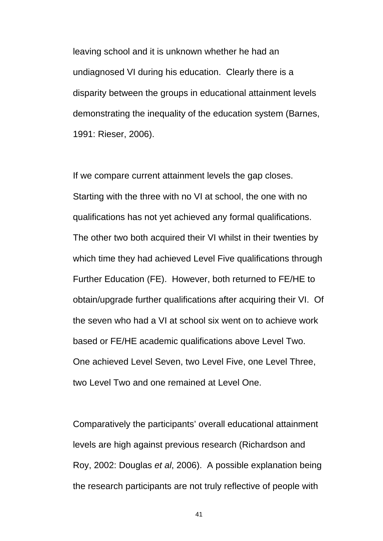leaving school and it is unknown whether he had an undiagnosed VI during his education. Clearly there is a disparity between the groups in educational attainment levels demonstrating the inequality of the education system (Barnes, 1991: Rieser, 2006).

If we compare current attainment levels the gap closes. Starting with the three with no VI at school, the one with no qualifications has not yet achieved any formal qualifications. The other two both acquired their VI whilst in their twenties by which time they had achieved Level Five qualifications through Further Education (FE). However, both returned to FE/HE to obtain/upgrade further qualifications after acquiring their VI. Of the seven who had a VI at school six went on to achieve work based or FE/HE academic qualifications above Level Two. One achieved Level Seven, two Level Five, one Level Three, two Level Two and one remained at Level One.

Comparatively the participants' overall educational attainment levels are high against previous research (Richardson and Roy, 2002: Douglas *et al*, 2006). A possible explanation being the research participants are not truly reflective of people with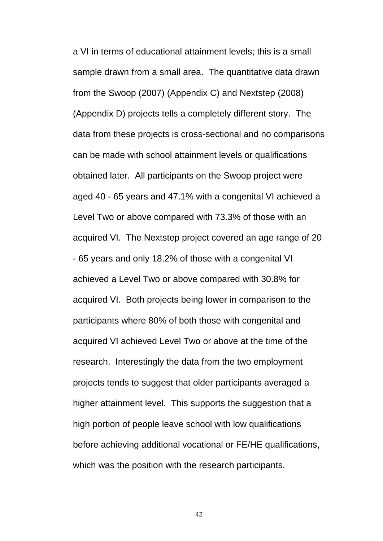a VI in terms of educational attainment levels; this is a small sample drawn from a small area. The quantitative data drawn from the Swoop (2007) (Appendix C) and Nextstep (2008) (Appendix D) projects tells a completely different story. The data from these projects is cross-sectional and no comparisons can be made with school attainment levels or qualifications obtained later. All participants on the Swoop project were aged 40 - 65 years and 47.1% with a congenital VI achieved a Level Two or above compared with 73.3% of those with an acquired VI. The Nextstep project covered an age range of 20 - 65 years and only 18.2% of those with a congenital VI achieved a Level Two or above compared with 30.8% for acquired VI. Both projects being lower in comparison to the participants where 80% of both those with congenital and acquired VI achieved Level Two or above at the time of the research. Interestingly the data from the two employment projects tends to suggest that older participants averaged a higher attainment level. This supports the suggestion that a high portion of people leave school with low qualifications before achieving additional vocational or FE/HE qualifications, which was the position with the research participants.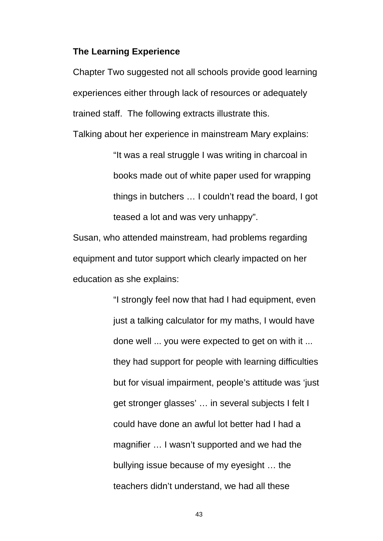#### **The Learning Experience**

Chapter Two suggested not all schools provide good learning experiences either through lack of resources or adequately trained staff. The following extracts illustrate this.

Talking about her experience in mainstream Mary explains:

"It was a real struggle I was writing in charcoal in books made out of white paper used for wrapping things in butchers … I couldn't read the board, I got teased a lot and was very unhappy".

Susan, who attended mainstream, had problems regarding equipment and tutor support which clearly impacted on her education as she explains:

> "I strongly feel now that had I had equipment, even just a talking calculator for my maths, I would have done well ... you were expected to get on with it ... they had support for people with learning difficulties but for visual impairment, people's attitude was 'just get stronger glasses' … in several subjects I felt I could have done an awful lot better had I had a magnifier … I wasn't supported and we had the bullying issue because of my eyesight … the teachers didn't understand, we had all these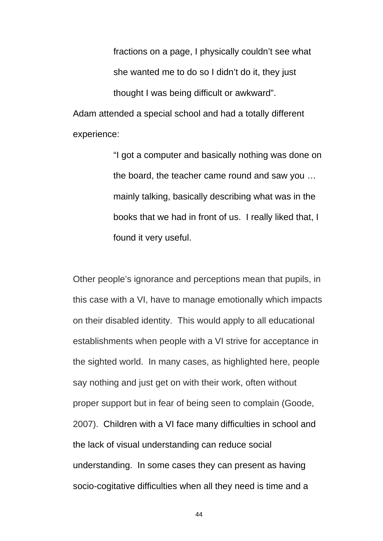fractions on a page, I physically couldn't see what she wanted me to do so I didn't do it, they just thought I was being difficult or awkward". Adam attended a special school and had a totally different experience:

> "I got a computer and basically nothing was done on the board, the teacher came round and saw you … mainly talking, basically describing what was in the books that we had in front of us. I really liked that, I found it very useful.

Other people's ignorance and perceptions mean that pupils, in this case with a VI, have to manage emotionally which impacts on their disabled identity. This would apply to all educational establishments when people with a VI strive for acceptance in the sighted world. In many cases, as highlighted here, people say nothing and just get on with their work, often without proper support but in fear of being seen to complain (Goode, 2007). Children with a VI face many difficulties in school and the lack of visual understanding can reduce social understanding. In some cases they can present as having socio-cogitative difficulties when all they need is time and a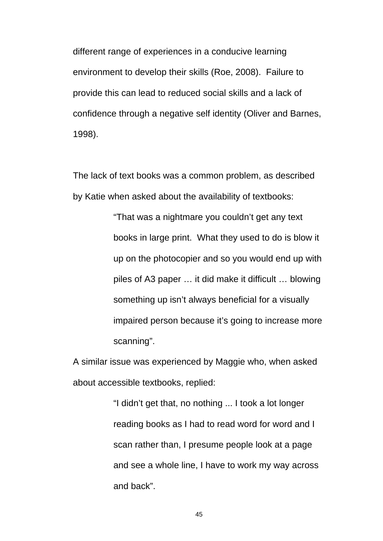different range of experiences in a conducive learning environment to develop their skills (Roe, 2008). Failure to provide this can lead to reduced social skills and a lack of confidence through a negative self identity (Oliver and Barnes, 1998).

The lack of text books was a common problem, as described by Katie when asked about the availability of textbooks:

> "That was a nightmare you couldn't get any text books in large print. What they used to do is blow it up on the photocopier and so you would end up with piles of A3 paper … it did make it difficult … blowing something up isn't always beneficial for a visually impaired person because it's going to increase more scanning".

A similar issue was experienced by Maggie who, when asked about accessible textbooks, replied:

> "I didn't get that, no nothing ... I took a lot longer reading books as I had to read word for word and I scan rather than, I presume people look at a page and see a whole line, I have to work my way across and back".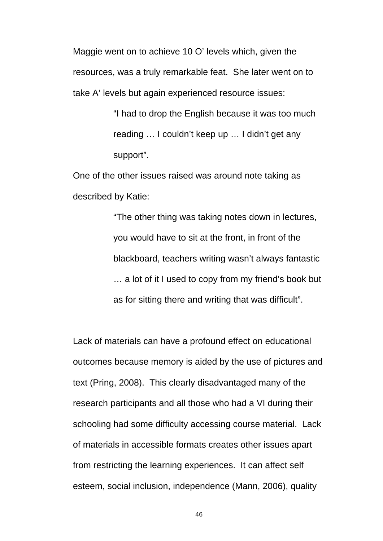Maggie went on to achieve 10 O' levels which, given the resources, was a truly remarkable feat. She later went on to take A' levels but again experienced resource issues:

> "I had to drop the English because it was too much reading … I couldn't keep up … I didn't get any support".

One of the other issues raised was around note taking as described by Katie:

> "The other thing was taking notes down in lectures, you would have to sit at the front, in front of the blackboard, teachers writing wasn't always fantastic … a lot of it I used to copy from my friend's book but as for sitting there and writing that was difficult".

Lack of materials can have a profound effect on educational outcomes because memory is aided by the use of pictures and text (Pring, 2008). This clearly disadvantaged many of the research participants and all those who had a VI during their schooling had some difficulty accessing course material. Lack of materials in accessible formats creates other issues apart from restricting the learning experiences. It can affect self esteem, social inclusion, independence (Mann, 2006), quality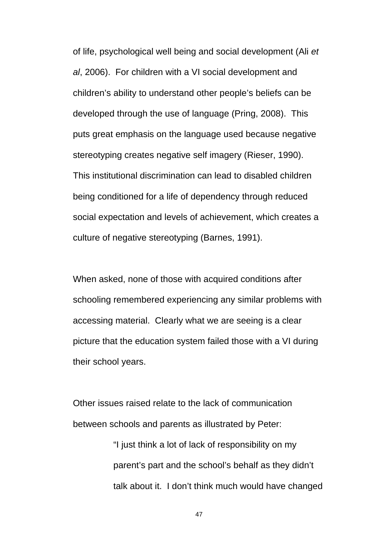of life, psychological well being and social development (Ali *et al*, 2006). For children with a VI social development and children's ability to understand other people's beliefs can be developed through the use of language (Pring, 2008). This puts great emphasis on the language used because negative stereotyping creates negative self imagery (Rieser, 1990). This institutional discrimination can lead to disabled children being conditioned for a life of dependency through reduced social expectation and levels of achievement, which creates a culture of negative stereotyping (Barnes, 1991).

When asked, none of those with acquired conditions after schooling remembered experiencing any similar problems with accessing material. Clearly what we are seeing is a clear picture that the education system failed those with a VI during their school years.

Other issues raised relate to the lack of communication between schools and parents as illustrated by Peter:

> "I just think a lot of lack of responsibility on my parent's part and the school's behalf as they didn't talk about it. I don't think much would have changed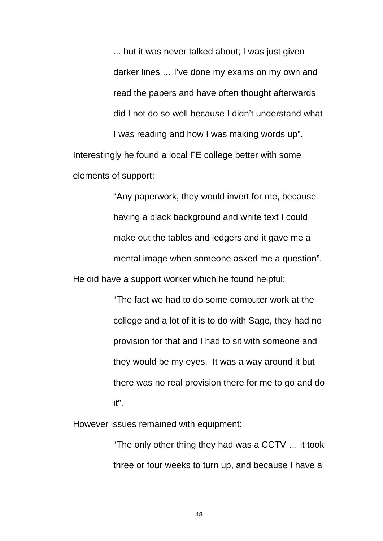... but it was never talked about; I was just given darker lines … I've done my exams on my own and read the papers and have often thought afterwards did I not do so well because I didn't understand what

I was reading and how I was making words up". Interestingly he found a local FE college better with some elements of support:

"Any paperwork, they would invert for me, because having a black background and white text I could make out the tables and ledgers and it gave me a mental image when someone asked me a question". He did have a support worker which he found helpful:

> "The fact we had to do some computer work at the college and a lot of it is to do with Sage, they had no provision for that and I had to sit with someone and they would be my eyes. It was a way around it but there was no real provision there for me to go and do it".

However issues remained with equipment:

"The only other thing they had was a CCTV … it took three or four weeks to turn up, and because I have a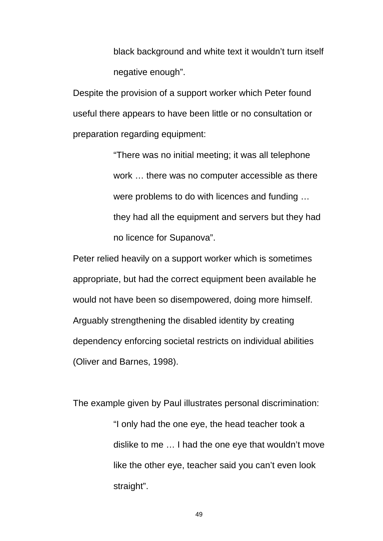black background and white text it wouldn't turn itself negative enough".

Despite the provision of a support worker which Peter found useful there appears to have been little or no consultation or preparation regarding equipment:

> "There was no initial meeting; it was all telephone work … there was no computer accessible as there were problems to do with licences and funding … they had all the equipment and servers but they had no licence for Supanova".

Peter relied heavily on a support worker which is sometimes appropriate, but had the correct equipment been available he would not have been so disempowered, doing more himself. Arguably strengthening the disabled identity by creating dependency enforcing societal restricts on individual abilities (Oliver and Barnes, 1998).

The example given by Paul illustrates personal discrimination: "I only had the one eye, the head teacher took a dislike to me … I had the one eye that wouldn't move like the other eye, teacher said you can't even look straight".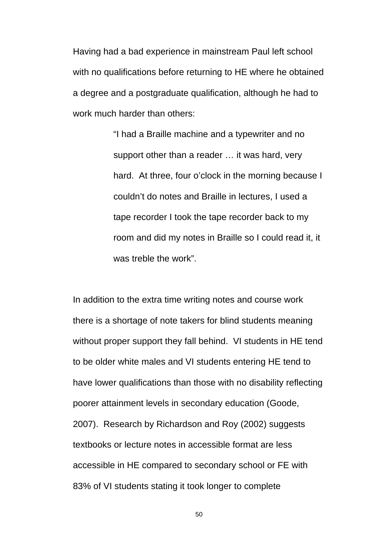Having had a bad experience in mainstream Paul left school with no qualifications before returning to HE where he obtained a degree and a postgraduate qualification, although he had to work much harder than others:

> "I had a Braille machine and a typewriter and no support other than a reader … it was hard, very hard. At three, four o'clock in the morning because I couldn't do notes and Braille in lectures, I used a tape recorder I took the tape recorder back to my room and did my notes in Braille so I could read it, it was treble the work".

In addition to the extra time writing notes and course work there is a shortage of note takers for blind students meaning without proper support they fall behind. VI students in HE tend to be older white males and VI students entering HE tend to have lower qualifications than those with no disability reflecting poorer attainment levels in secondary education (Goode, 2007). Research by Richardson and Roy (2002) suggests textbooks or lecture notes in accessible format are less accessible in HE compared to secondary school or FE with 83% of VI students stating it took longer to complete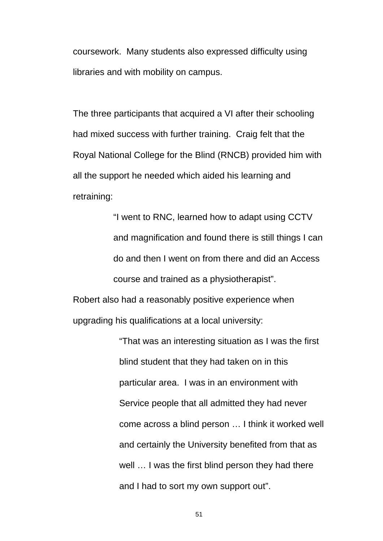coursework. Many students also expressed difficulty using libraries and with mobility on campus.

The three participants that acquired a VI after their schooling had mixed success with further training. Craig felt that the Royal National College for the Blind (RNCB) provided him with all the support he needed which aided his learning and retraining:

> "I went to RNC, learned how to adapt using CCTV and magnification and found there is still things I can do and then I went on from there and did an Access course and trained as a physiotherapist".

Robert also had a reasonably positive experience when upgrading his qualifications at a local university:

> "That was an interesting situation as I was the first blind student that they had taken on in this particular area. I was in an environment with Service people that all admitted they had never come across a blind person … I think it worked well and certainly the University benefited from that as well … I was the first blind person they had there and I had to sort my own support out".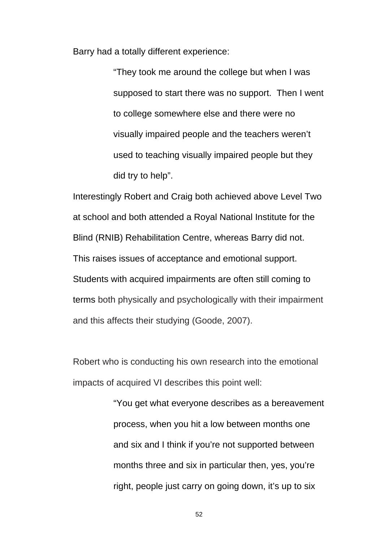Barry had a totally different experience:

"They took me around the college but when I was supposed to start there was no support. Then I went to college somewhere else and there were no visually impaired people and the teachers weren't used to teaching visually impaired people but they did try to help".

Interestingly Robert and Craig both achieved above Level Two at school and both attended a Royal National Institute for the Blind (RNIB) Rehabilitation Centre, whereas Barry did not. This raises issues of acceptance and emotional support. Students with acquired impairments are often still coming to terms both physically and psychologically with their impairment and this affects their studying (Goode, 2007).

Robert who is conducting his own research into the emotional impacts of acquired VI describes this point well:

> "You get what everyone describes as a bereavement process, when you hit a low between months one and six and I think if you're not supported between months three and six in particular then, yes, you're right, people just carry on going down, it's up to six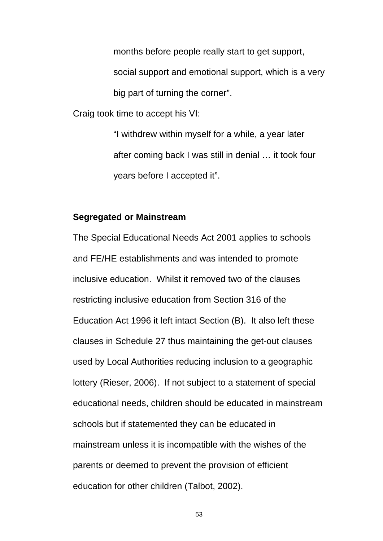months before people really start to get support, social support and emotional support, which is a very big part of turning the corner".

Craig took time to accept his VI:

"I withdrew within myself for a while, a year later after coming back I was still in denial … it took four years before I accepted it".

## **Segregated or Mainstream**

The Special Educational Needs Act 2001 applies to schools and FE/HE establishments and was intended to promote inclusive education. Whilst it removed two of the clauses restricting inclusive education from Section 316 of the Education Act 1996 it left intact Section (B). It also left these clauses in Schedule 27 thus maintaining the get-out clauses used by Local Authorities reducing inclusion to a geographic lottery (Rieser, 2006). If not subject to a statement of special educational needs, children should be educated in mainstream schools but if statemented they can be educated in mainstream unless it is incompatible with the wishes of the parents or deemed to prevent the provision of efficient education for other children (Talbot, 2002).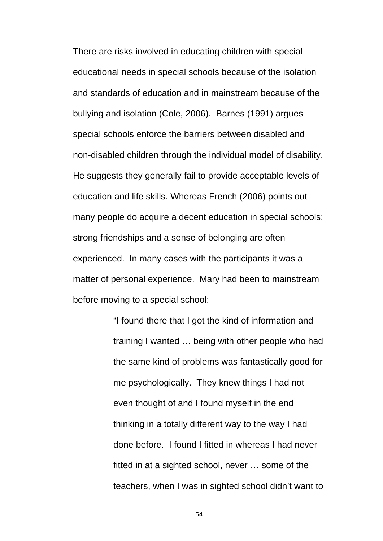There are risks involved in educating children with special educational needs in special schools because of the isolation and standards of education and in mainstream because of the bullying and isolation (Cole, 2006). Barnes (1991) argues special schools enforce the barriers between disabled and non-disabled children through the individual model of disability. He suggests they generally fail to provide acceptable levels of education and life skills. Whereas French (2006) points out many people do acquire a decent education in special schools; strong friendships and a sense of belonging are often experienced. In many cases with the participants it was a matter of personal experience. Mary had been to mainstream before moving to a special school:

> "I found there that I got the kind of information and training I wanted … being with other people who had the same kind of problems was fantastically good for me psychologically. They knew things I had not even thought of and I found myself in the end thinking in a totally different way to the way I had done before. I found I fitted in whereas I had never fitted in at a sighted school, never … some of the teachers, when I was in sighted school didn't want to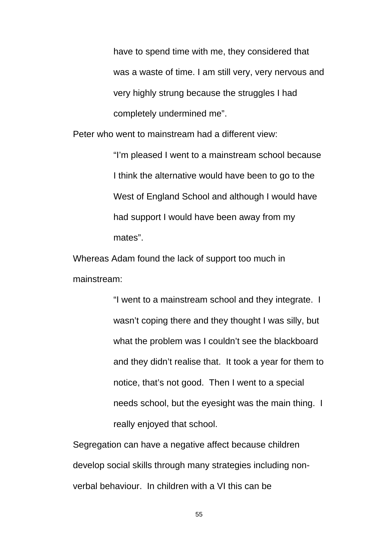have to spend time with me, they considered that was a waste of time. I am still very, very nervous and very highly strung because the struggles I had completely undermined me".

Peter who went to mainstream had a different view:

"I'm pleased I went to a mainstream school because I think the alternative would have been to go to the West of England School and although I would have had support I would have been away from my mates".

Whereas Adam found the lack of support too much in mainstream:

> "I went to a mainstream school and they integrate. I wasn't coping there and they thought I was silly, but what the problem was I couldn't see the blackboard and they didn't realise that. It took a year for them to notice, that's not good. Then I went to a special needs school, but the eyesight was the main thing. I really enjoyed that school.

Segregation can have a negative affect because children develop social skills through many strategies including nonverbal behaviour. In children with a VI this can be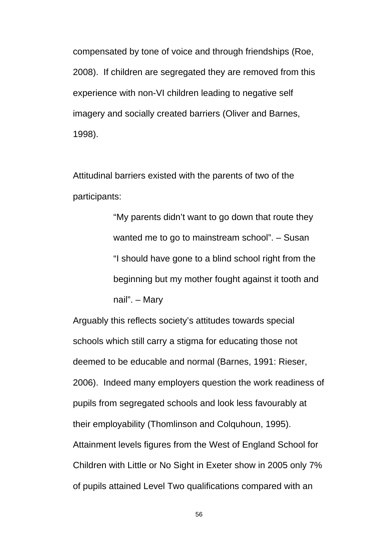compensated by tone of voice and through friendships (Roe, 2008). If children are segregated they are removed from this experience with non-VI children leading to negative self imagery and socially created barriers (Oliver and Barnes, 1998).

Attitudinal barriers existed with the parents of two of the participants:

> "My parents didn't want to go down that route they wanted me to go to mainstream school". – Susan "I should have gone to a blind school right from the beginning but my mother fought against it tooth and nail". – Mary

Arguably this reflects society's attitudes towards special schools which still carry a stigma for educating those not deemed to be educable and normal (Barnes, 1991: Rieser, 2006). Indeed many employers question the work readiness of pupils from segregated schools and look less favourably at their employability (Thomlinson and Colquhoun, 1995). Attainment levels figures from the West of England School for Children with Little or No Sight in Exeter show in 2005 only 7% of pupils attained Level Two qualifications compared with an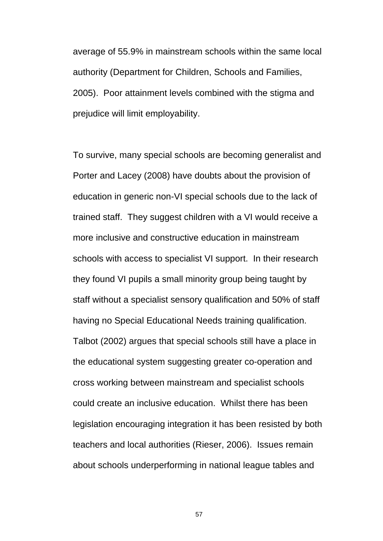average of 55.9% in mainstream schools within the same local authority (Department for Children, Schools and Families, 2005). Poor attainment levels combined with the stigma and prejudice will limit employability.

To survive, many special schools are becoming generalist and Porter and Lacey (2008) have doubts about the provision of education in generic non-VI special schools due to the lack of trained staff. They suggest children with a VI would receive a more inclusive and constructive education in mainstream schools with access to specialist VI support. In their research they found VI pupils a small minority group being taught by staff without a specialist sensory qualification and 50% of staff having no Special Educational Needs training qualification. Talbot (2002) argues that special schools still have a place in the educational system suggesting greater co-operation and cross working between mainstream and specialist schools could create an inclusive education. Whilst there has been legislation encouraging integration it has been resisted by both teachers and local authorities (Rieser, 2006). Issues remain about schools underperforming in national league tables and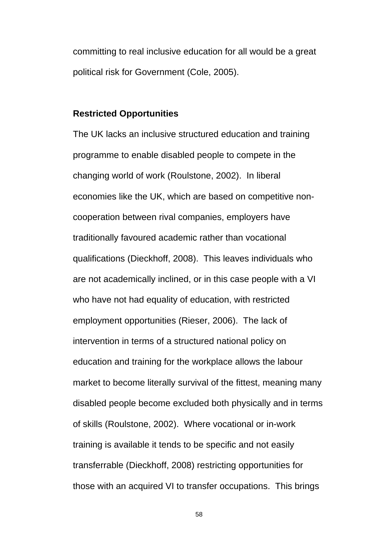committing to real inclusive education for all would be a great political risk for Government (Cole, 2005).

#### **Restricted Opportunities**

The UK lacks an inclusive structured education and training programme to enable disabled people to compete in the changing world of work (Roulstone, 2002). In liberal economies like the UK, which are based on competitive noncooperation between rival companies, employers have traditionally favoured academic rather than vocational qualifications (Dieckhoff, 2008). This leaves individuals who are not academically inclined, or in this case people with a VI who have not had equality of education, with restricted employment opportunities (Rieser, 2006). The lack of intervention in terms of a structured national policy on education and training for the workplace allows the labour market to become literally survival of the fittest, meaning many disabled people become excluded both physically and in terms of skills (Roulstone, 2002). Where vocational or in-work training is available it tends to be specific and not easily transferrable (Dieckhoff, 2008) restricting opportunities for those with an acquired VI to transfer occupations. This brings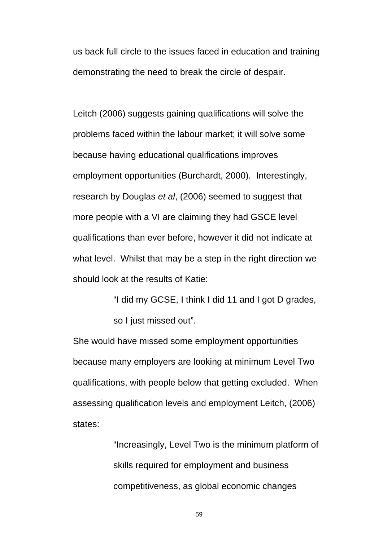us back full circle to the issues faced in education and training demonstrating the need to break the circle of despair.

Leitch (2006) suggests gaining qualifications will solve the problems faced within the labour market; it will solve some because having educational qualifications improves employment opportunities (Burchardt, 2000). Interestingly, research by Douglas *et al*, (2006) seemed to suggest that more people with a VI are claiming they had GSCE level qualifications than ever before, however it did not indicate at what level. Whilst that may be a step in the right direction we should look at the results of Katie:

> "I did my GCSE, I think I did 11 and I got D grades, so I just missed out".

She would have missed some employment opportunities because many employers are looking at minimum Level Two qualifications, with people below that getting excluded. When assessing qualification levels and employment Leitch, (2006) states:

> "Increasingly, Level Two is the minimum platform of skills required for employment and business competitiveness, as global economic changes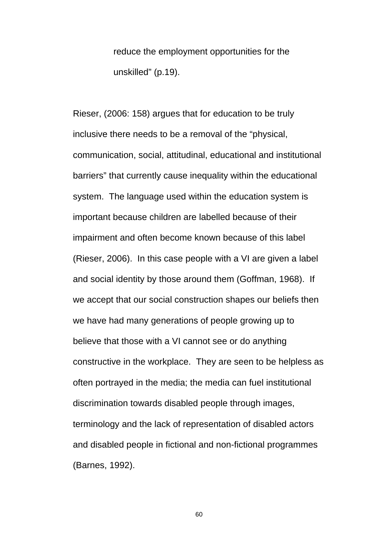reduce the employment opportunities for the unskilled" (p.19).

Rieser, (2006: 158) argues that for education to be truly inclusive there needs to be a removal of the "physical, communication, social, attitudinal, educational and institutional barriers" that currently cause inequality within the educational system. The language used within the education system is important because children are labelled because of their impairment and often become known because of this label (Rieser, 2006). In this case people with a VI are given a label and social identity by those around them (Goffman, 1968). If we accept that our social construction shapes our beliefs then we have had many generations of people growing up to believe that those with a VI cannot see or do anything constructive in the workplace. They are seen to be helpless as often portrayed in the media; the media can fuel institutional discrimination towards disabled people through images, terminology and the lack of representation of disabled actors and disabled people in fictional and non-fictional programmes (Barnes, 1992).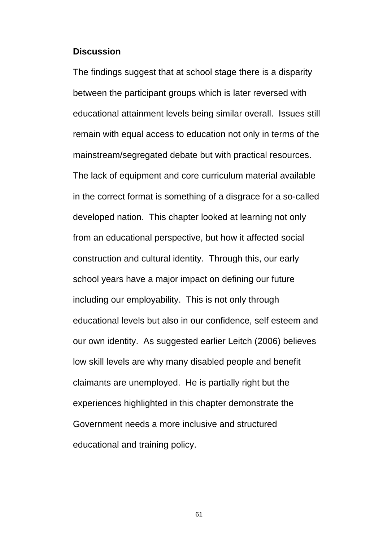#### **Discussion**

The findings suggest that at school stage there is a disparity between the participant groups which is later reversed with educational attainment levels being similar overall. Issues still remain with equal access to education not only in terms of the mainstream/segregated debate but with practical resources. The lack of equipment and core curriculum material available in the correct format is something of a disgrace for a so-called developed nation. This chapter looked at learning not only from an educational perspective, but how it affected social construction and cultural identity. Through this, our early school years have a major impact on defining our future including our employability. This is not only through educational levels but also in our confidence, self esteem and our own identity. As suggested earlier Leitch (2006) believes low skill levels are why many disabled people and benefit claimants are unemployed. He is partially right but the experiences highlighted in this chapter demonstrate the Government needs a more inclusive and structured educational and training policy.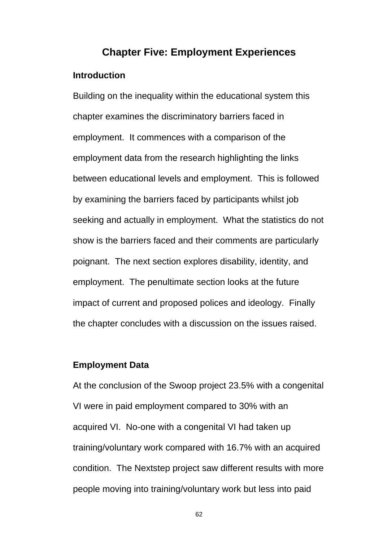# **Chapter Five: Employment Experiences**

## **Introduction**

Building on the inequality within the educational system this chapter examines the discriminatory barriers faced in employment. It commences with a comparison of the employment data from the research highlighting the links between educational levels and employment. This is followed by examining the barriers faced by participants whilst job seeking and actually in employment. What the statistics do not show is the barriers faced and their comments are particularly poignant. The next section explores disability, identity, and employment. The penultimate section looks at the future impact of current and proposed polices and ideology. Finally the chapter concludes with a discussion on the issues raised.

## **Employment Data**

At the conclusion of the Swoop project 23.5% with a congenital VI were in paid employment compared to 30% with an acquired VI. No-one with a congenital VI had taken up training/voluntary work compared with 16.7% with an acquired condition. The Nextstep project saw different results with more people moving into training/voluntary work but less into paid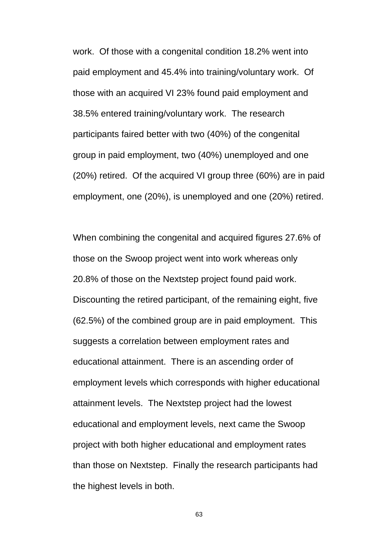work. Of those with a congenital condition 18.2% went into paid employment and 45.4% into training/voluntary work. Of those with an acquired VI 23% found paid employment and 38.5% entered training/voluntary work. The research participants faired better with two (40%) of the congenital group in paid employment, two (40%) unemployed and one (20%) retired. Of the acquired VI group three (60%) are in paid employment, one (20%), is unemployed and one (20%) retired.

When combining the congenital and acquired figures 27.6% of those on the Swoop project went into work whereas only 20.8% of those on the Nextstep project found paid work. Discounting the retired participant, of the remaining eight, five (62.5%) of the combined group are in paid employment. This suggests a correlation between employment rates and educational attainment. There is an ascending order of employment levels which corresponds with higher educational attainment levels. The Nextstep project had the lowest educational and employment levels, next came the Swoop project with both higher educational and employment rates than those on Nextstep. Finally the research participants had the highest levels in both.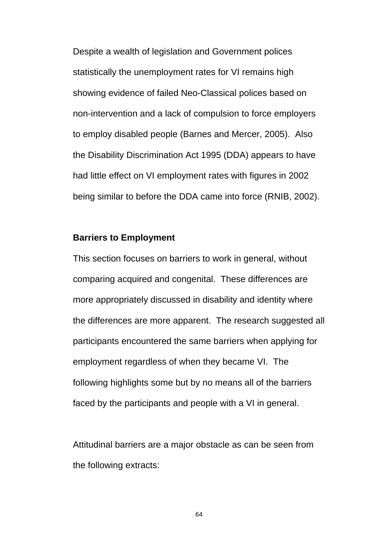Despite a wealth of legislation and Government polices statistically the unemployment rates for VI remains high showing evidence of failed Neo-Classical polices based on non-intervention and a lack of compulsion to force employers to employ disabled people (Barnes and Mercer, 2005). Also the Disability Discrimination Act 1995 (DDA) appears to have had little effect on VI employment rates with figures in 2002 being similar to before the DDA came into force (RNIB, 2002).

### **Barriers to Employment**

This section focuses on barriers to work in general, without comparing acquired and congenital. These differences are more appropriately discussed in disability and identity where the differences are more apparent. The research suggested all participants encountered the same barriers when applying for employment regardless of when they became VI. The following highlights some but by no means all of the barriers faced by the participants and people with a VI in general.

Attitudinal barriers are a major obstacle as can be seen from the following extracts: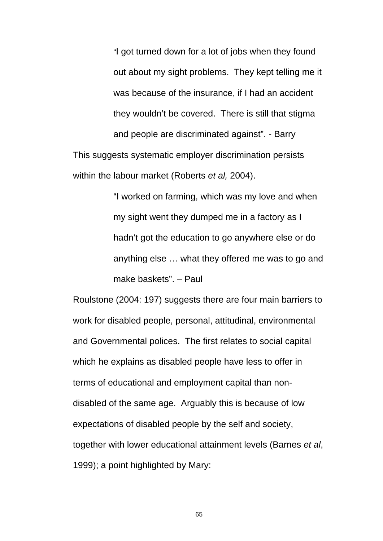"I got turned down for a lot of jobs when they found out about my sight problems. They kept telling me it was because of the insurance, if I had an accident they wouldn't be covered. There is still that stigma and people are discriminated against". - Barry This suggests systematic employer discrimination persists within the labour market (Roberts *et al,* 2004).

> "I worked on farming, which was my love and when my sight went they dumped me in a factory as I hadn't got the education to go anywhere else or do anything else … what they offered me was to go and make baskets". – Paul

Roulstone (2004: 197) suggests there are four main barriers to work for disabled people, personal, attitudinal, environmental and Governmental polices. The first relates to social capital which he explains as disabled people have less to offer in terms of educational and employment capital than nondisabled of the same age. Arguably this is because of low expectations of disabled people by the self and society, together with lower educational attainment levels (Barnes *et al*, 1999); a point highlighted by Mary: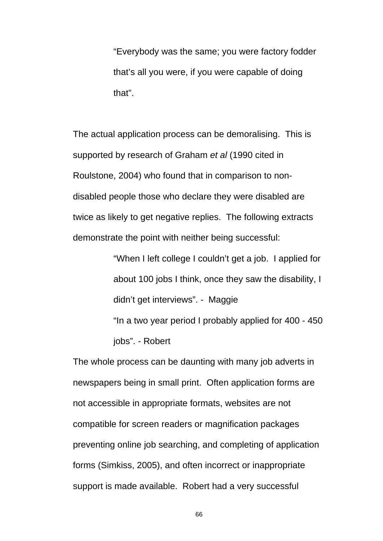"Everybody was the same; you were factory fodder that's all you were, if you were capable of doing that".

The actual application process can be demoralising. This is supported by research of Graham *et al* (1990 cited in Roulstone, 2004) who found that in comparison to nondisabled people those who declare they were disabled are twice as likely to get negative replies. The following extracts demonstrate the point with neither being successful:

> "When I left college I couldn't get a job. I applied for about 100 jobs I think, once they saw the disability, I didn't get interviews". - Maggie "In a two year period I probably applied for 400 - 450 jobs". - Robert

The whole process can be daunting with many job adverts in newspapers being in small print. Often application forms are not accessible in appropriate formats, websites are not compatible for screen readers or magnification packages preventing online job searching, and completing of application forms (Simkiss, 2005), and often incorrect or inappropriate support is made available. Robert had a very successful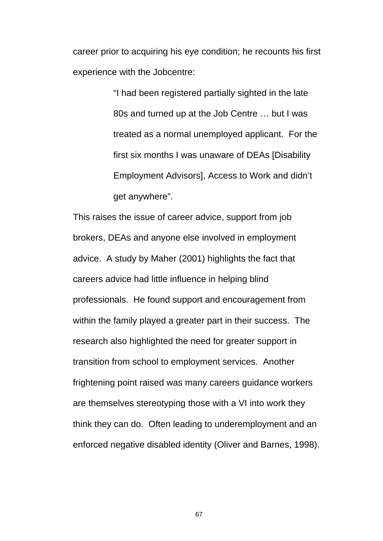career prior to acquiring his eye condition; he recounts his first experience with the Jobcentre:

> "I had been registered partially sighted in the late 80s and turned up at the Job Centre … but I was treated as a normal unemployed applicant. For the first six months I was unaware of DEAs [Disability Employment Advisors], Access to Work and didn't get anywhere".

This raises the issue of career advice, support from job brokers, DEAs and anyone else involved in employment advice. A study by Maher (2001) highlights the fact that careers advice had little influence in helping blind professionals. He found support and encouragement from within the family played a greater part in their success. The research also highlighted the need for greater support in transition from school to employment services. Another frightening point raised was many careers guidance workers are themselves stereotyping those with a VI into work they think they can do. Often leading to underemployment and an enforced negative disabled identity (Oliver and Barnes, 1998).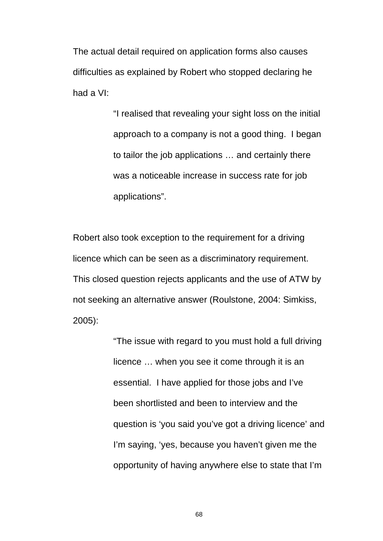The actual detail required on application forms also causes difficulties as explained by Robert who stopped declaring he had a VI:

> "I realised that revealing your sight loss on the initial approach to a company is not a good thing. I began to tailor the job applications … and certainly there was a noticeable increase in success rate for job applications".

Robert also took exception to the requirement for a driving licence which can be seen as a discriminatory requirement. This closed question rejects applicants and the use of ATW by not seeking an alternative answer (Roulstone, 2004: Simkiss, 2005):

> "The issue with regard to you must hold a full driving licence … when you see it come through it is an essential. I have applied for those jobs and I've been shortlisted and been to interview and the question is 'you said you've got a driving licence' and I'm saying, 'yes, because you haven't given me the opportunity of having anywhere else to state that I'm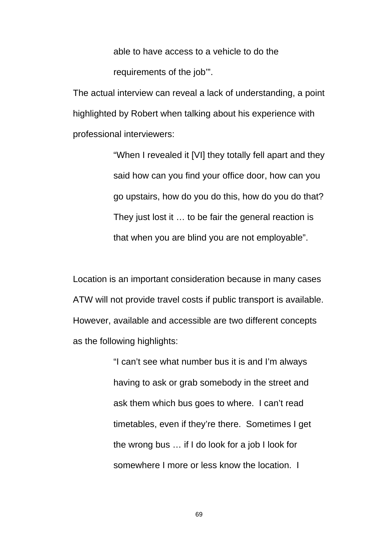able to have access to a vehicle to do the requirements of the job'".

The actual interview can reveal a lack of understanding, a point highlighted by Robert when talking about his experience with professional interviewers:

> "When I revealed it [VI] they totally fell apart and they said how can you find your office door, how can you go upstairs, how do you do this, how do you do that? They just lost it … to be fair the general reaction is that when you are blind you are not employable".

Location is an important consideration because in many cases ATW will not provide travel costs if public transport is available. However, available and accessible are two different concepts as the following highlights:

> "I can't see what number bus it is and I'm always having to ask or grab somebody in the street and ask them which bus goes to where. I can't read timetables, even if they're there. Sometimes I get the wrong bus … if I do look for a job I look for somewhere I more or less know the location. I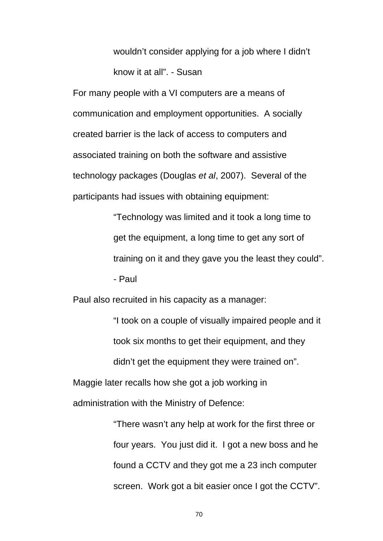wouldn't consider applying for a job where I didn't know it at all". - Susan

For many people with a VI computers are a means of communication and employment opportunities. A socially created barrier is the lack of access to computers and associated training on both the software and assistive technology packages (Douglas *et al*, 2007). Several of the participants had issues with obtaining equipment:

> "Technology was limited and it took a long time to get the equipment, a long time to get any sort of training on it and they gave you the least they could". - Paul

Paul also recruited in his capacity as a manager:

"I took on a couple of visually impaired people and it took six months to get their equipment, and they didn't get the equipment they were trained on".

Maggie later recalls how she got a job working in

administration with the Ministry of Defence:

"There wasn't any help at work for the first three or four years. You just did it. I got a new boss and he found a CCTV and they got me a 23 inch computer screen. Work got a bit easier once I got the CCTV".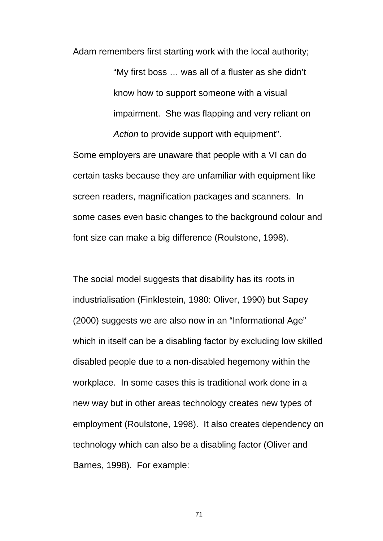Adam remembers first starting work with the local authority; "My first boss … was all of a fluster as she didn't know how to support someone with a visual impairment. She was flapping and very reliant on *Action* to provide support with equipment".

Some employers are unaware that people with a VI can do certain tasks because they are unfamiliar with equipment like screen readers, magnification packages and scanners. In some cases even basic changes to the background colour and font size can make a big difference (Roulstone, 1998).

The social model suggests that disability has its roots in industrialisation (Finklestein, 1980: Oliver, 1990) but Sapey (2000) suggests we are also now in an "Informational Age" which in itself can be a disabling factor by excluding low skilled disabled people due to a non-disabled hegemony within the workplace. In some cases this is traditional work done in a new way but in other areas technology creates new types of employment (Roulstone, 1998). It also creates dependency on technology which can also be a disabling factor (Oliver and Barnes, 1998). For example: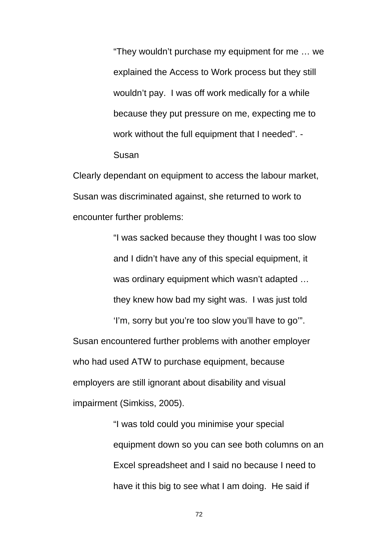"They wouldn't purchase my equipment for me … we explained the Access to Work process but they still wouldn't pay. I was off work medically for a while because they put pressure on me, expecting me to work without the full equipment that I needed". - Susan

Clearly dependant on equipment to access the labour market, Susan was discriminated against, she returned to work to encounter further problems:

> "I was sacked because they thought I was too slow and I didn't have any of this special equipment, it was ordinary equipment which wasn't adapted … they knew how bad my sight was. I was just told

'I'm, sorry but you're too slow you'll have to go'". Susan encountered further problems with another employer who had used ATW to purchase equipment, because employers are still ignorant about disability and visual impairment (Simkiss, 2005).

> "I was told could you minimise your special equipment down so you can see both columns on an Excel spreadsheet and I said no because I need to have it this big to see what I am doing. He said if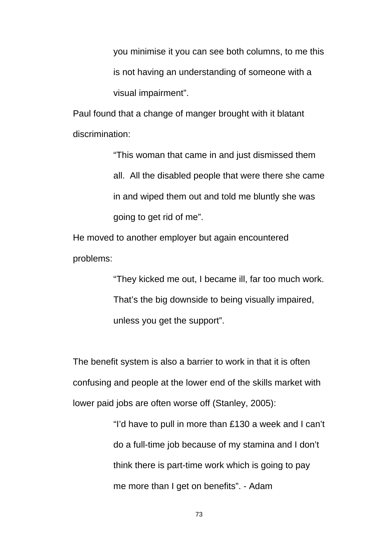you minimise it you can see both columns, to me this is not having an understanding of someone with a visual impairment".

Paul found that a change of manger brought with it blatant discrimination:

> "This woman that came in and just dismissed them all. All the disabled people that were there she came in and wiped them out and told me bluntly she was going to get rid of me".

He moved to another employer but again encountered problems:

> "They kicked me out, I became ill, far too much work. That's the big downside to being visually impaired, unless you get the support".

The benefit system is also a barrier to work in that it is often confusing and people at the lower end of the skills market with lower paid jobs are often worse off (Stanley, 2005):

> "I'd have to pull in more than £130 a week and I can't do a full-time job because of my stamina and I don't think there is part-time work which is going to pay me more than I get on benefits". - Adam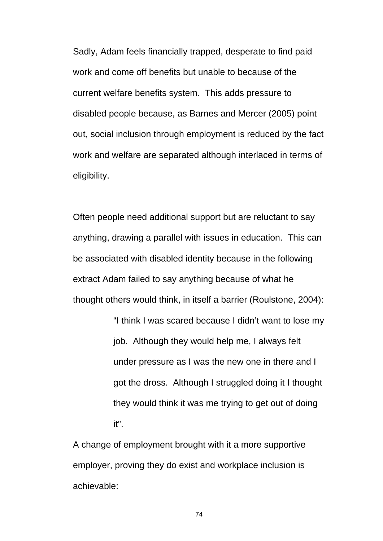Sadly, Adam feels financially trapped, desperate to find paid work and come off benefits but unable to because of the current welfare benefits system. This adds pressure to disabled people because, as Barnes and Mercer (2005) point out, social inclusion through employment is reduced by the fact work and welfare are separated although interlaced in terms of eligibility.

Often people need additional support but are reluctant to say anything, drawing a parallel with issues in education. This can be associated with disabled identity because in the following extract Adam failed to say anything because of what he thought others would think, in itself a barrier (Roulstone, 2004):

> "I think I was scared because I didn't want to lose my job. Although they would help me, I always felt under pressure as I was the new one in there and I got the dross. Although I struggled doing it I thought they would think it was me trying to get out of doing it".

A change of employment brought with it a more supportive employer, proving they do exist and workplace inclusion is achievable: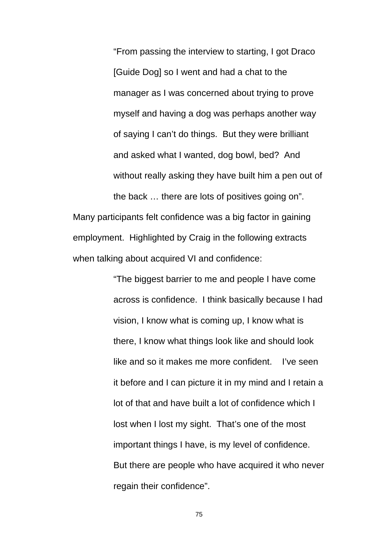"From passing the interview to starting, I got Draco [Guide Dog] so I went and had a chat to the manager as I was concerned about trying to prove myself and having a dog was perhaps another way of saying I can't do things. But they were brilliant and asked what I wanted, dog bowl, bed? And without really asking they have built him a pen out of the back … there are lots of positives going on". Many participants felt confidence was a big factor in gaining employment. Highlighted by Craig in the following extracts

when talking about acquired VI and confidence:

"The biggest barrier to me and people I have come across is confidence. I think basically because I had vision, I know what is coming up, I know what is there, I know what things look like and should look like and so it makes me more confident. I've seen it before and I can picture it in my mind and I retain a lot of that and have built a lot of confidence which I lost when I lost my sight. That's one of the most important things I have, is my level of confidence. But there are people who have acquired it who never regain their confidence".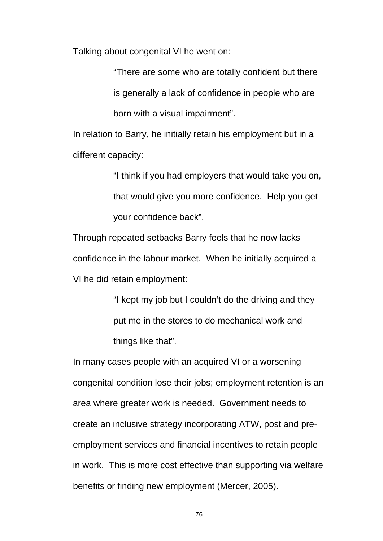Talking about congenital VI he went on:

"There are some who are totally confident but there is generally a lack of confidence in people who are born with a visual impairment".

In relation to Barry, he initially retain his employment but in a different capacity:

> "I think if you had employers that would take you on, that would give you more confidence. Help you get your confidence back".

Through repeated setbacks Barry feels that he now lacks confidence in the labour market. When he initially acquired a VI he did retain employment:

> "I kept my job but I couldn't do the driving and they put me in the stores to do mechanical work and things like that".

In many cases people with an acquired VI or a worsening congenital condition lose their jobs; employment retention is an area where greater work is needed. Government needs to create an inclusive strategy incorporating ATW, post and preemployment services and financial incentives to retain people in work. This is more cost effective than supporting via welfare benefits or finding new employment (Mercer, 2005).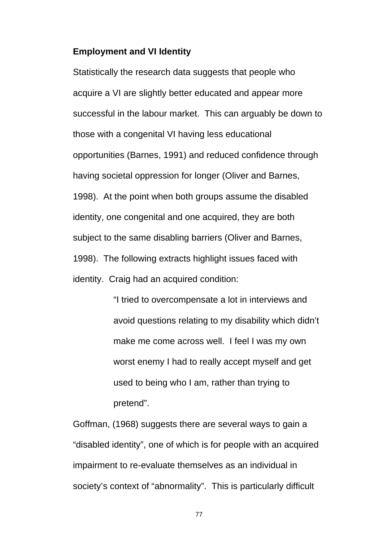#### **Employment and VI Identity**

Statistically the research data suggests that people who acquire a VI are slightly better educated and appear more successful in the labour market. This can arguably be down to those with a congenital VI having less educational opportunities (Barnes, 1991) and reduced confidence through having societal oppression for longer (Oliver and Barnes, 1998). At the point when both groups assume the disabled identity, one congenital and one acquired, they are both subject to the same disabling barriers (Oliver and Barnes, 1998). The following extracts highlight issues faced with identity. Craig had an acquired condition:

> "I tried to overcompensate a lot in interviews and avoid questions relating to my disability which didn't make me come across well. I feel I was my own worst enemy I had to really accept myself and get used to being who I am, rather than trying to pretend".

Goffman, (1968) suggests there are several ways to gain a "disabled identity", one of which is for people with an acquired impairment to re-evaluate themselves as an individual in society's context of "abnormality". This is particularly difficult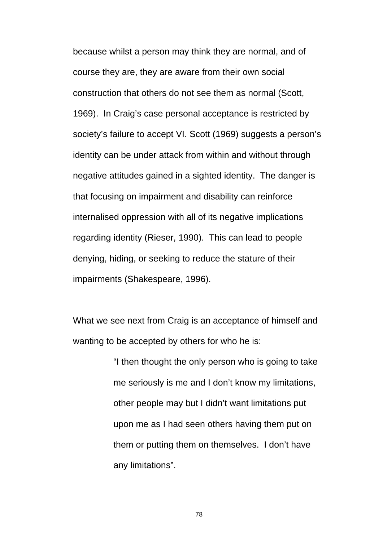because whilst a person may think they are normal, and of course they are, they are aware from their own social construction that others do not see them as normal (Scott, 1969). In Craig's case personal acceptance is restricted by society's failure to accept VI. Scott (1969) suggests a person's identity can be under attack from within and without through negative attitudes gained in a sighted identity. The danger is that focusing on impairment and disability can reinforce internalised oppression with all of its negative implications regarding identity (Rieser, 1990). This can lead to people denying, hiding, or seeking to reduce the stature of their impairments (Shakespeare, 1996).

What we see next from Craig is an acceptance of himself and wanting to be accepted by others for who he is:

> "I then thought the only person who is going to take me seriously is me and I don't know my limitations, other people may but I didn't want limitations put upon me as I had seen others having them put on them or putting them on themselves. I don't have any limitations".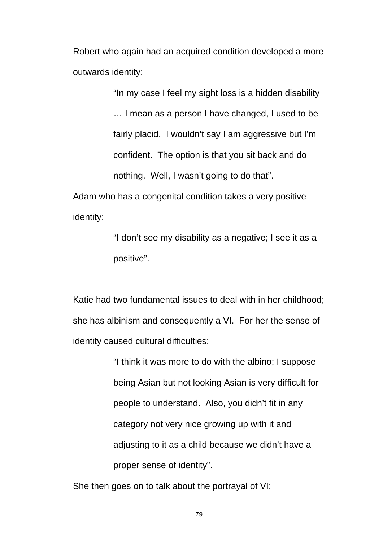Robert who again had an acquired condition developed a more outwards identity:

> "In my case I feel my sight loss is a hidden disability … I mean as a person I have changed, I used to be fairly placid. I wouldn't say I am aggressive but I'm confident. The option is that you sit back and do nothing. Well, I wasn't going to do that".

Adam who has a congenital condition takes a very positive identity:

> "I don't see my disability as a negative; I see it as a positive".

Katie had two fundamental issues to deal with in her childhood; she has albinism and consequently a VI. For her the sense of identity caused cultural difficulties:

> "I think it was more to do with the albino; I suppose being Asian but not looking Asian is very difficult for people to understand. Also, you didn't fit in any category not very nice growing up with it and adjusting to it as a child because we didn't have a proper sense of identity".

She then goes on to talk about the portrayal of VI: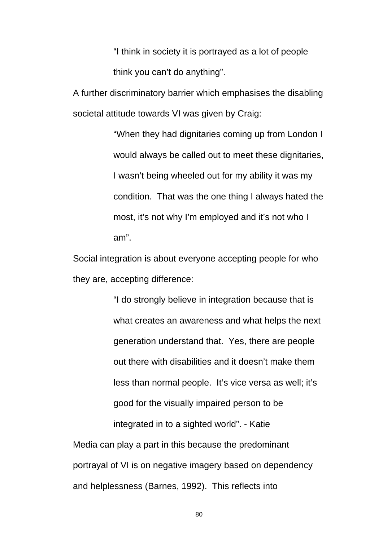"I think in society it is portrayed as a lot of people think you can't do anything".

A further discriminatory barrier which emphasises the disabling societal attitude towards VI was given by Craig:

> "When they had dignitaries coming up from London I would always be called out to meet these dignitaries, I wasn't being wheeled out for my ability it was my condition. That was the one thing I always hated the most, it's not why I'm employed and it's not who I am".

Social integration is about everyone accepting people for who they are, accepting difference:

> "I do strongly believe in integration because that is what creates an awareness and what helps the next generation understand that. Yes, there are people out there with disabilities and it doesn't make them less than normal people. It's vice versa as well; it's good for the visually impaired person to be integrated in to a sighted world". - Katie

Media can play a part in this because the predominant portrayal of VI is on negative imagery based on dependency and helplessness (Barnes, 1992). This reflects into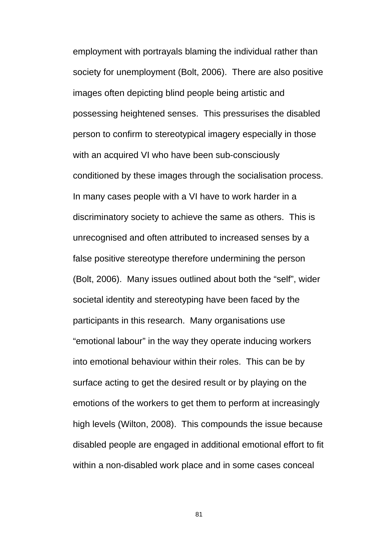employment with portrayals blaming the individual rather than society for unemployment (Bolt, 2006). There are also positive images often depicting blind people being artistic and possessing heightened senses. This pressurises the disabled person to confirm to stereotypical imagery especially in those with an acquired VI who have been sub-consciously conditioned by these images through the socialisation process. In many cases people with a VI have to work harder in a discriminatory society to achieve the same as others. This is unrecognised and often attributed to increased senses by a false positive stereotype therefore undermining the person (Bolt, 2006). Many issues outlined about both the "self", wider societal identity and stereotyping have been faced by the participants in this research. Many organisations use "emotional labour" in the way they operate inducing workers into emotional behaviour within their roles. This can be by surface acting to get the desired result or by playing on the emotions of the workers to get them to perform at increasingly high levels (Wilton, 2008). This compounds the issue because disabled people are engaged in additional emotional effort to fit within a non-disabled work place and in some cases conceal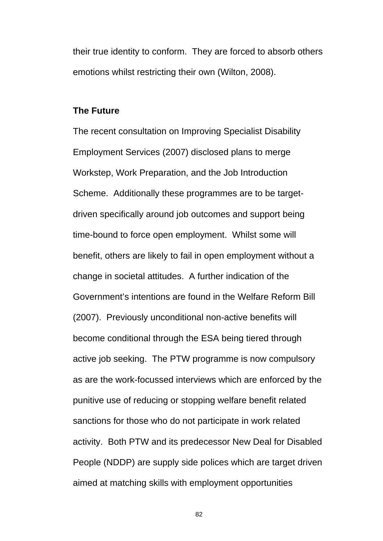their true identity to conform. They are forced to absorb others emotions whilst restricting their own (Wilton, 2008).

#### **The Future**

The recent consultation on Improving Specialist Disability Employment Services (2007) disclosed plans to merge Workstep, Work Preparation, and the Job Introduction Scheme. Additionally these programmes are to be targetdriven specifically around job outcomes and support being time-bound to force open employment. Whilst some will benefit, others are likely to fail in open employment without a change in societal attitudes. A further indication of the Government's intentions are found in the Welfare Reform Bill (2007). Previously unconditional non-active benefits will become conditional through the ESA being tiered through active job seeking. The PTW programme is now compulsory as are the work-focussed interviews which are enforced by the punitive use of reducing or stopping welfare benefit related sanctions for those who do not participate in work related activity. Both PTW and its predecessor New Deal for Disabled People (NDDP) are supply side polices which are target driven aimed at matching skills with employment opportunities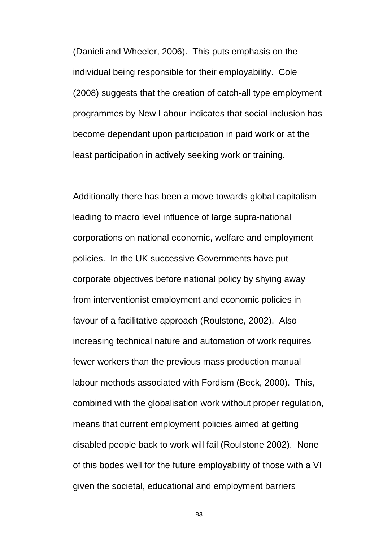(Danieli and Wheeler, 2006). This puts emphasis on the individual being responsible for their employability. Cole (2008) suggests that the creation of catch-all type employment programmes by New Labour indicates that social inclusion has become dependant upon participation in paid work or at the least participation in actively seeking work or training.

Additionally there has been a move towards global capitalism leading to macro level influence of large supra-national corporations on national economic, welfare and employment policies. In the UK successive Governments have put corporate objectives before national policy by shying away from interventionist employment and economic policies in favour of a facilitative approach (Roulstone, 2002). Also increasing technical nature and automation of work requires fewer workers than the previous mass production manual labour methods associated with Fordism (Beck, 2000). This, combined with the globalisation work without proper regulation, means that current employment policies aimed at getting disabled people back to work will fail (Roulstone 2002). None of this bodes well for the future employability of those with a VI given the societal, educational and employment barriers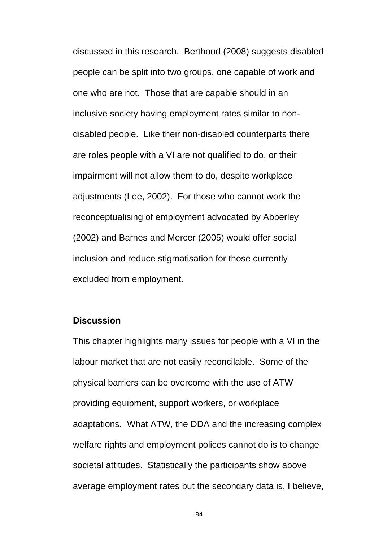discussed in this research. Berthoud (2008) suggests disabled people can be split into two groups, one capable of work and one who are not. Those that are capable should in an inclusive society having employment rates similar to nondisabled people. Like their non-disabled counterparts there are roles people with a VI are not qualified to do, or their impairment will not allow them to do, despite workplace adjustments (Lee, 2002). For those who cannot work the reconceptualising of employment advocated by Abberley (2002) and Barnes and Mercer (2005) would offer social inclusion and reduce stigmatisation for those currently excluded from employment.

#### **Discussion**

This chapter highlights many issues for people with a VI in the labour market that are not easily reconcilable. Some of the physical barriers can be overcome with the use of ATW providing equipment, support workers, or workplace adaptations. What ATW, the DDA and the increasing complex welfare rights and employment polices cannot do is to change societal attitudes. Statistically the participants show above average employment rates but the secondary data is, I believe,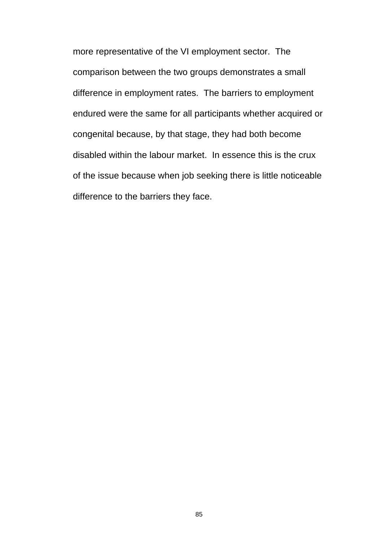more representative of the VI employment sector. The comparison between the two groups demonstrates a small difference in employment rates. The barriers to employment endured were the same for all participants whether acquired or congenital because, by that stage, they had both become disabled within the labour market. In essence this is the crux of the issue because when job seeking there is little noticeable difference to the barriers they face.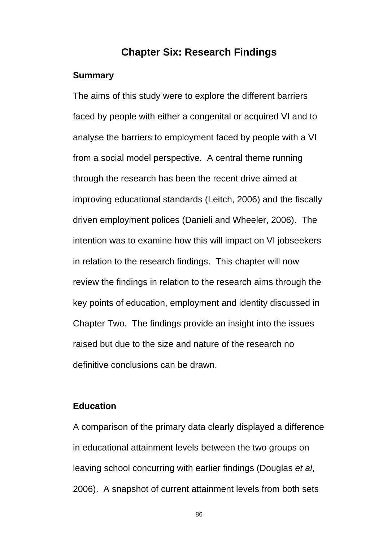## **Chapter Six: Research Findings**

#### **Summary**

The aims of this study were to explore the different barriers faced by people with either a congenital or acquired VI and to analyse the barriers to employment faced by people with a VI from a social model perspective. A central theme running through the research has been the recent drive aimed at improving educational standards (Leitch, 2006) and the fiscally driven employment polices (Danieli and Wheeler, 2006). The intention was to examine how this will impact on VI jobseekers in relation to the research findings. This chapter will now review the findings in relation to the research aims through the key points of education, employment and identity discussed in Chapter Two. The findings provide an insight into the issues raised but due to the size and nature of the research no definitive conclusions can be drawn.

## **Education**

A comparison of the primary data clearly displayed a difference in educational attainment levels between the two groups on leaving school concurring with earlier findings (Douglas *et al*, 2006). A snapshot of current attainment levels from both sets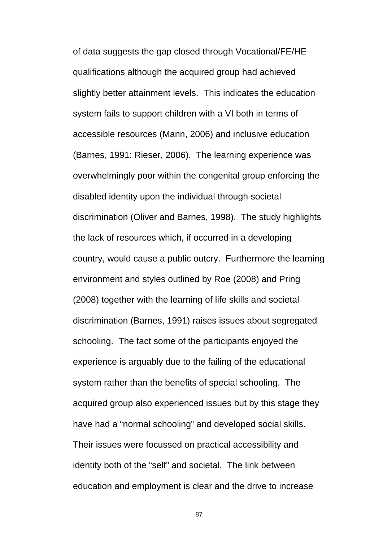of data suggests the gap closed through Vocational/FE/HE qualifications although the acquired group had achieved slightly better attainment levels. This indicates the education system fails to support children with a VI both in terms of accessible resources (Mann, 2006) and inclusive education (Barnes, 1991: Rieser, 2006). The learning experience was overwhelmingly poor within the congenital group enforcing the disabled identity upon the individual through societal discrimination (Oliver and Barnes, 1998). The study highlights the lack of resources which, if occurred in a developing country, would cause a public outcry. Furthermore the learning environment and styles outlined by Roe (2008) and Pring (2008) together with the learning of life skills and societal discrimination (Barnes, 1991) raises issues about segregated schooling. The fact some of the participants enjoyed the experience is arguably due to the failing of the educational system rather than the benefits of special schooling. The acquired group also experienced issues but by this stage they have had a "normal schooling" and developed social skills. Their issues were focussed on practical accessibility and identity both of the "self" and societal. The link between education and employment is clear and the drive to increase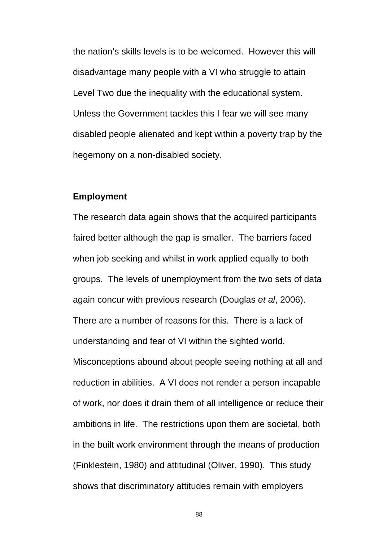the nation's skills levels is to be welcomed. However this will disadvantage many people with a VI who struggle to attain Level Two due the inequality with the educational system. Unless the Government tackles this I fear we will see many disabled people alienated and kept within a poverty trap by the hegemony on a non-disabled society.

#### **Employment**

The research data again shows that the acquired participants faired better although the gap is smaller. The barriers faced when job seeking and whilst in work applied equally to both groups. The levels of unemployment from the two sets of data again concur with previous research (Douglas *et al*, 2006). There are a number of reasons for this. There is a lack of understanding and fear of VI within the sighted world. Misconceptions abound about people seeing nothing at all and reduction in abilities. A VI does not render a person incapable of work, nor does it drain them of all intelligence or reduce their ambitions in life. The restrictions upon them are societal, both in the built work environment through the means of production (Finklestein, 1980) and attitudinal (Oliver, 1990). This study shows that discriminatory attitudes remain with employers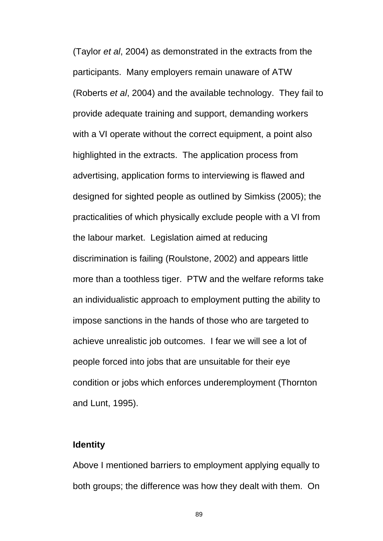(Taylor *et al*, 2004) as demonstrated in the extracts from the participants. Many employers remain unaware of ATW (Roberts *et al*, 2004) and the available technology. They fail to provide adequate training and support, demanding workers with a VI operate without the correct equipment, a point also highlighted in the extracts. The application process from advertising, application forms to interviewing is flawed and designed for sighted people as outlined by Simkiss (2005); the practicalities of which physically exclude people with a VI from the labour market. Legislation aimed at reducing discrimination is failing (Roulstone, 2002) and appears little more than a toothless tiger. PTW and the welfare reforms take an individualistic approach to employment putting the ability to impose sanctions in the hands of those who are targeted to achieve unrealistic job outcomes. I fear we will see a lot of people forced into jobs that are unsuitable for their eye condition or jobs which enforces underemployment (Thornton and Lunt, 1995).

#### **Identity**

Above I mentioned barriers to employment applying equally to both groups; the difference was how they dealt with them. On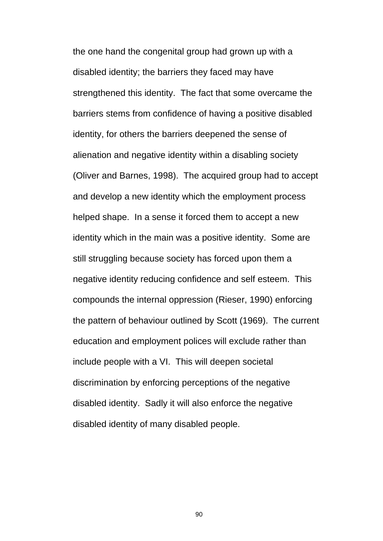the one hand the congenital group had grown up with a disabled identity; the barriers they faced may have strengthened this identity. The fact that some overcame the barriers stems from confidence of having a positive disabled identity, for others the barriers deepened the sense of alienation and negative identity within a disabling society (Oliver and Barnes, 1998). The acquired group had to accept and develop a new identity which the employment process helped shape. In a sense it forced them to accept a new identity which in the main was a positive identity. Some are still struggling because society has forced upon them a negative identity reducing confidence and self esteem. This compounds the internal oppression (Rieser, 1990) enforcing the pattern of behaviour outlined by Scott (1969). The current education and employment polices will exclude rather than include people with a VI. This will deepen societal discrimination by enforcing perceptions of the negative disabled identity. Sadly it will also enforce the negative disabled identity of many disabled people.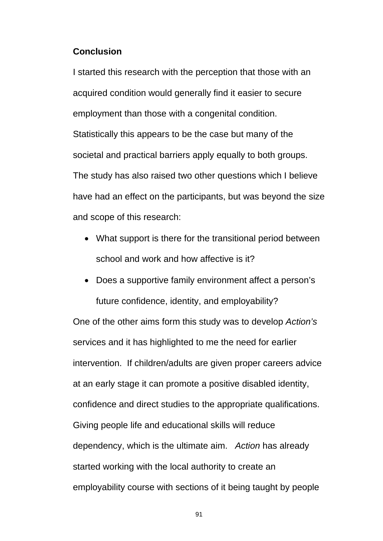#### **Conclusion**

I started this research with the perception that those with an acquired condition would generally find it easier to secure employment than those with a congenital condition. Statistically this appears to be the case but many of the societal and practical barriers apply equally to both groups. The study has also raised two other questions which I believe have had an effect on the participants, but was beyond the size and scope of this research:

- What support is there for the transitional period between school and work and how affective is it?
- Does a supportive family environment affect a person's future confidence, identity, and employability?

One of the other aims form this study was to develop *Action's* services and it has highlighted to me the need for earlier intervention. If children/adults are given proper careers advice at an early stage it can promote a positive disabled identity, confidence and direct studies to the appropriate qualifications. Giving people life and educational skills will reduce dependency, which is the ultimate aim. *Action* has already started working with the local authority to create an employability course with sections of it being taught by people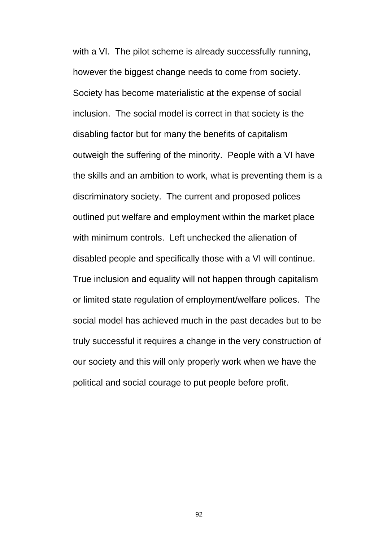with a VI. The pilot scheme is already successfully running, however the biggest change needs to come from society. Society has become materialistic at the expense of social inclusion. The social model is correct in that society is the disabling factor but for many the benefits of capitalism outweigh the suffering of the minority. People with a VI have the skills and an ambition to work, what is preventing them is a discriminatory society. The current and proposed polices outlined put welfare and employment within the market place with minimum controls. Left unchecked the alienation of disabled people and specifically those with a VI will continue. True inclusion and equality will not happen through capitalism or limited state regulation of employment/welfare polices. The social model has achieved much in the past decades but to be truly successful it requires a change in the very construction of our society and this will only properly work when we have the political and social courage to put people before profit.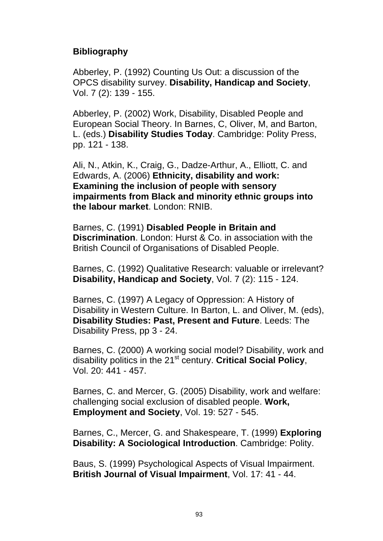## **Bibliography**

Abberley, P. (1992) Counting Us Out: a discussion of the OPCS disability survey. **Disability, Handicap and Society**, Vol. 7 (2): 139 - 155.

Abberley, P. (2002) Work, Disability, Disabled People and European Social Theory. In Barnes, C, Oliver, M, and Barton, L. (eds.) **Disability Studies Today**. Cambridge: Polity Press, pp. 121 - 138.

Ali, N., Atkin, K., Craig, G., Dadze-Arthur, A., Elliott, C. and Edwards, A. (2006) **Ethnicity, disability and work: Examining the inclusion of people with sensory impairments from Black and minority ethnic groups into the labour market**. London: RNIB.

Barnes, C. (1991) **Disabled People in Britain and Discrimination**. London: Hurst & Co. in association with the British Council of Organisations of Disabled People.

Barnes, C. (1992) Qualitative Research: valuable or irrelevant? **Disability, Handicap and Society**, Vol. 7 (2): 115 - 124.

Barnes, C. (1997) A Legacy of Oppression: A History of Disability in Western Culture. In Barton, L. and Oliver, M. (eds), **Disability Studies: Past, Present and Future**. Leeds: The Disability Press, pp 3 - 24.

Barnes, C. (2000) A working social model? Disability, work and disability politics in the 21st century. **Critical Social Policy**, Vol. 20: 441 - 457.

Barnes, C. and Mercer, G. (2005) Disability, work and welfare: challenging social exclusion of disabled people. **Work, Employment and Society**, Vol. 19: 527 - 545.

Barnes, C., Mercer, G. and Shakespeare, T. (1999) **Exploring Disability: A Sociological Introduction**. Cambridge: Polity.

Baus, S. (1999) Psychological Aspects of Visual Impairment. **British Journal of Visual Impairment**, Vol. 17: 41 - 44.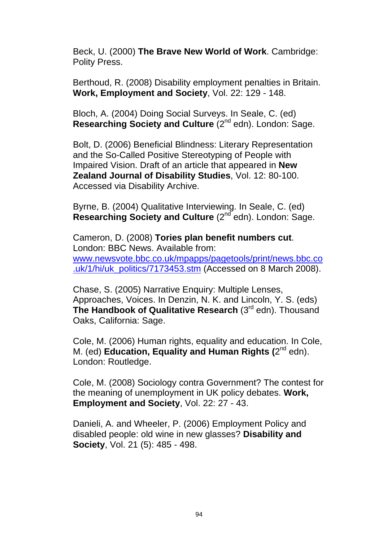Beck, U. (2000) **The Brave New World of Work**. Cambridge: Polity Press.

Berthoud, R. (2008) Disability employment penalties in Britain. **Work, Employment and Society**, Vol. 22: 129 - 148.

Bloch, A. (2004) Doing Social Surveys. In Seale, C. (ed) **Researching Society and Culture** (2<sup>nd</sup> edn). London: Sage.

Bolt, D. (2006) Beneficial Blindness: Literary Representation and the So-Called Positive Stereotyping of People with Impaired Vision. Draft of an article that appeared in **New Zealand Journal of Disability Studies**, Vol. 12: 80-100. Accessed via Disability Archive.

Byrne, B. (2004) Qualitative Interviewing. In Seale, C. (ed) **Researching Society and Culture** (2<sup>nd</sup> edn). London: Sage.

Cameron, D. (2008) **Tories plan benefit numbers cut**. London: BBC News. Available from: www.newsvote.bbc.co.uk/mpapps/pagetools/print/news.bbc.co .uk/1/hi/uk\_politics/7173453.stm (Accessed on 8 March 2008).

Chase, S. (2005) Narrative Enquiry: Multiple Lenses, Approaches, Voices. In Denzin, N. K. and Lincoln, Y. S. (eds) **The Handbook of Qualitative Research** (3<sup>rd</sup> edn). Thousand Oaks, California: Sage.

Cole, M. (2006) Human rights, equality and education. In Cole, M. (ed) **Education, Equality and Human Rights (**2nd edn). London: Routledge.

Cole, M. (2008) Sociology contra Government? The contest for the meaning of unemployment in UK policy debates. **Work, Employment and Society**, Vol. 22: 27 - 43.

Danieli, A. and Wheeler, P. (2006) Employment Policy and disabled people: old wine in new glasses? **Disability and Society**, Vol. 21 (5): 485 - 498.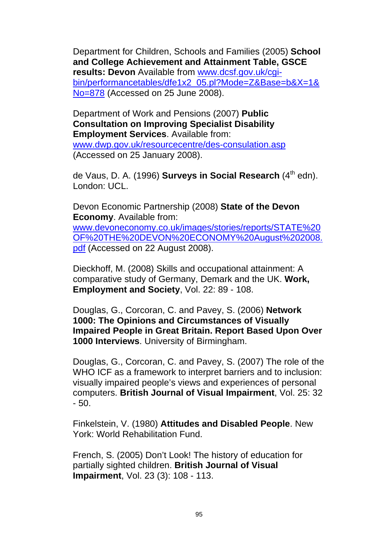Department for Children, Schools and Families (2005) **School and College Achievement and Attainment Table, GSCE results: Devon** Available from www.dcsf.gov.uk/cgibin/performancetables/dfe1x2\_05.pl?Mode=Z&Base=b&X=1& No=878 (Accessed on 25 June 2008).

Department of Work and Pensions (2007) **Public Consultation on Improving Specialist Disability Employment Services**. Available from: www.dwp.gov.uk/resourcecentre/des-consulation.asp (Accessed on 25 January 2008).

de Vaus, D. A. (1996) **Surveys in Social Research** (4<sup>th</sup> edn). London: UCL.

Devon Economic Partnership (2008) **State of the Devon Economy**. Available from:

www.devoneconomy.co.uk/images/stories/reports/STATE%20 OF%20THE%20DEVON%20ECONOMY%20August%202008. pdf (Accessed on 22 August 2008).

Dieckhoff, M. (2008) Skills and occupational attainment: A comparative study of Germany, Demark and the UK. **Work, Employment and Society**, Vol. 22: 89 - 108.

Douglas, G., Corcoran, C. and Pavey, S. (2006) **Network 1000: The Opinions and Circumstances of Visually Impaired People in Great Britain. Report Based Upon Over 1000 Interviews**. University of Birmingham.

Douglas, G., Corcoran, C. and Pavey, S. (2007) The role of the WHO ICF as a framework to interpret barriers and to inclusion: visually impaired people's views and experiences of personal computers. **British Journal of Visual Impairment**, Vol. 25: 32 - 50.

Finkelstein, V. (1980) **Attitudes and Disabled People**. New York: World Rehabilitation Fund.

French, S. (2005) Don't Look! The history of education for partially sighted children. **British Journal of Visual Impairment**, Vol. 23 (3): 108 - 113.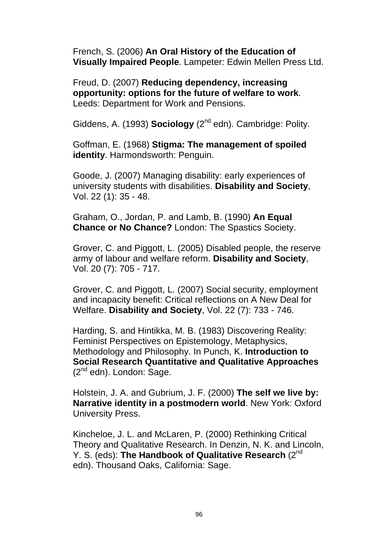French, S. (2006) **An Oral History of the Education of Visually Impaired People**. Lampeter: Edwin Mellen Press Ltd.

Freud, D. (2007) **Reducing dependency, increasing opportunity: options for the future of welfare to work**. Leeds: Department for Work and Pensions.

Giddens, A. (1993) **Sociology** (2<sup>nd</sup> edn). Cambridge: Polity.

Goffman, E. (1968) **Stigma: The management of spoiled identity**. Harmondsworth: Penguin.

Goode, J. (2007) Managing disability: early experiences of university students with disabilities. **Disability and Society**, Vol. 22 (1): 35 - 48.

Graham, O., Jordan, P. and Lamb, B. (1990) **An Equal Chance or No Chance?** London: The Spastics Society.

Grover, C. and Piggott, L. (2005) Disabled people, the reserve army of labour and welfare reform. **Disability and Society**, Vol. 20 (7): 705 - 717.

Grover, C. and Piggott, L. (2007) Social security, employment and incapacity benefit: Critical reflections on A New Deal for Welfare. **Disability and Society**, Vol. 22 (7): 733 - 746.

Harding, S. and Hintikka, M. B. (1983) Discovering Reality: Feminist Perspectives on Epistemology, Metaphysics, Methodology and Philosophy. In Punch, K. **Introduction to Social Research Quantitative and Qualitative Approaches** (2<sup>nd</sup> edn). London: Sage.

Holstein, J. A. and Gubrium, J. F. (2000) **The self we live by: Narrative identity in a postmodern world**. New York: Oxford University Press.

Kincheloe, J. L. and McLaren, P. (2000) Rethinking Critical Theory and Qualitative Research. In Denzin, N. K. and Lincoln, Y. S. (eds): **The Handbook of Qualitative Research** (2<sup>nd</sup>) edn). Thousand Oaks, California: Sage.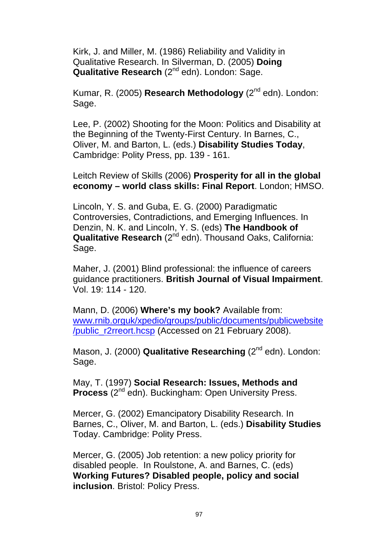Kirk, J. and Miller, M. (1986) Reliability and Validity in Qualitative Research. In Silverman, D. (2005) **Doing Qualitative Research** (2<sup>nd</sup> edn). London: Sage.

Kumar, R. (2005) **Research Methodology** (2<sup>nd</sup> edn). London: Sage.

Lee, P. (2002) Shooting for the Moon: Politics and Disability at the Beginning of the Twenty-First Century. In Barnes, C., Oliver, M. and Barton, L. (eds.) **Disability Studies Today**, Cambridge: Polity Press, pp. 139 - 161.

Leitch Review of Skills (2006) **Prosperity for all in the global economy – world class skills: Final Report**. London; HMSO.

Lincoln, Y. S. and Guba, E. G. (2000) Paradigmatic Controversies, Contradictions, and Emerging Influences. In Denzin, N. K. and Lincoln, Y. S. (eds) **The Handbook of Qualitative Research** (2<sup>nd</sup> edn). Thousand Oaks, California: Sage.

Maher, J. (2001) Blind professional: the influence of careers guidance practitioners. **British Journal of Visual Impairment**. Vol. 19: 114 - 120.

Mann, D. (2006) **Where's my book?** Available from: www.rnib.orguk/xpedio/groups/public/documents/publicwebsite /public\_r2rreort.hcsp (Accessed on 21 February 2008).

Mason, J. (2000) **Qualitative Researching** (2<sup>nd</sup> edn). London: Sage.

May, T. (1997) **Social Research: Issues, Methods and Process** (2<sup>nd</sup> edn). Buckingham: Open University Press.

Mercer, G. (2002) Emancipatory Disability Research. In Barnes, C., Oliver, M. and Barton, L. (eds.) **Disability Studies**  Today. Cambridge: Polity Press.

Mercer, G. (2005) Job retention: a new policy priority for disabled people. In Roulstone, A. and Barnes, C. (eds) **Working Futures? Disabled people, policy and social inclusion**. Bristol: Policy Press.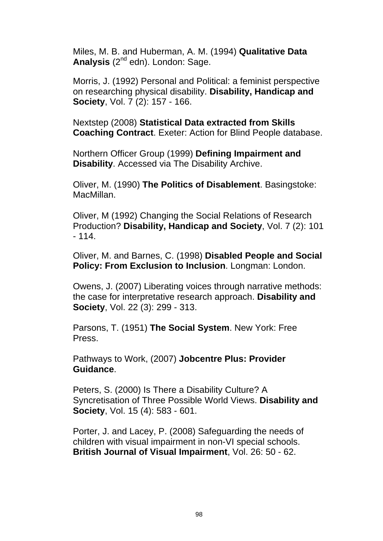Miles, M. B. and Huberman, A. M. (1994) **Qualitative Data**  Analysis (2<sup>nd</sup> edn). London: Sage.

Morris, J. (1992) Personal and Political: a feminist perspective on researching physical disability. **Disability, Handicap and Society**, Vol. 7 (2): 157 - 166.

Nextstep (2008) **Statistical Data extracted from Skills Coaching Contract**. Exeter: Action for Blind People database.

Northern Officer Group (1999) **Defining Impairment and Disability**. Accessed via The Disability Archive.

Oliver, M. (1990) **The Politics of Disablement**. Basingstoke: MacMillan.

Oliver, M (1992) Changing the Social Relations of Research Production? **Disability, Handicap and Society**, Vol. 7 (2): 101  $-114.$ 

Oliver, M. and Barnes, C. (1998) **Disabled People and Social Policy: From Exclusion to Inclusion**. Longman: London.

Owens, J. (2007) Liberating voices through narrative methods: the case for interpretative research approach. **Disability and Society**, Vol. 22 (3): 299 - 313.

Parsons, T. (1951) **The Social System**. New York: Free Press.

Pathways to Work, (2007) **Jobcentre Plus: Provider Guidance**.

Peters, S. (2000) Is There a Disability Culture? A Syncretisation of Three Possible World Views. **Disability and Society**, Vol. 15 (4): 583 - 601.

Porter, J. and Lacey, P. (2008) Safeguarding the needs of children with visual impairment in non-VI special schools. **British Journal of Visual Impairment**, Vol. 26: 50 - 62.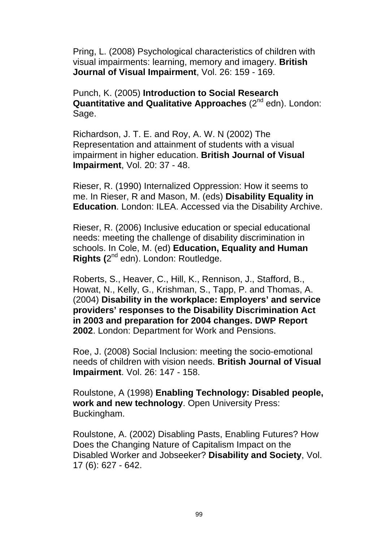Pring, L. (2008) Psychological characteristics of children with visual impairments: learning, memory and imagery. **British Journal of Visual Impairment**, Vol. 26: 159 - 169.

Punch, K. (2005) **Introduction to Social Research Quantitative and Qualitative Approaches** (2<sup>nd</sup> edn). London: Sage.

Richardson, J. T. E. and Roy, A. W. N (2002) The Representation and attainment of students with a visual impairment in higher education. **British Journal of Visual Impairment**, Vol. 20: 37 - 48.

Rieser, R. (1990) Internalized Oppression: How it seems to me. In Rieser, R and Mason, M. (eds) **Disability Equality in Education**. London: ILEA. Accessed via the Disability Archive.

Rieser, R. (2006) Inclusive education or special educational needs: meeting the challenge of disability discrimination in schools. In Cole, M. (ed) **Education, Equality and Human Rights (**2nd edn). London: Routledge.

Roberts, S., Heaver, C., Hill, K., Rennison, J., Stafford, B., Howat, N., Kelly, G., Krishman, S., Tapp, P. and Thomas, A. (2004) **Disability in the workplace: Employers' and service providers' responses to the Disability Discrimination Act in 2003 and preparation for 2004 changes. DWP Report 2002**. London: Department for Work and Pensions.

Roe, J. (2008) Social Inclusion: meeting the socio-emotional needs of children with vision needs. **British Journal of Visual Impairment**. Vol. 26: 147 - 158.

Roulstone, A (1998) **Enabling Technology: Disabled people, work and new technology**. Open University Press: Buckingham.

Roulstone, A. (2002) Disabling Pasts, Enabling Futures? How Does the Changing Nature of Capitalism Impact on the Disabled Worker and Jobseeker? **Disability and Society**, Vol. 17 (6): 627 - 642.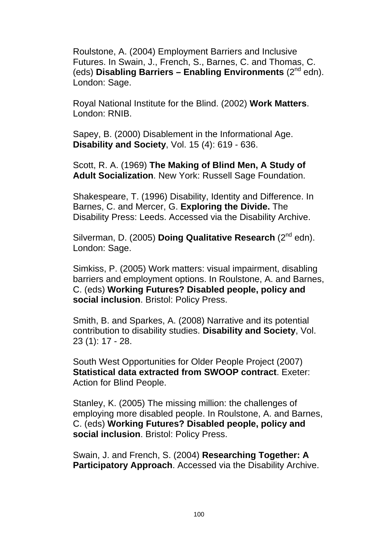Roulstone, A. (2004) Employment Barriers and Inclusive Futures. In Swain, J., French, S., Barnes, C. and Thomas, C. (eds) **Disabling Barriers – Enabling Environments** (2nd edn). London: Sage.

Royal National Institute for the Blind. (2002) **Work Matters**. London: RNIB.

Sapey, B. (2000) Disablement in the Informational Age. **Disability and Society**, Vol. 15 (4): 619 - 636.

Scott, R. A. (1969) **The Making of Blind Men, A Study of Adult Socialization**. New York: Russell Sage Foundation.

Shakespeare, T. (1996) Disability, Identity and Difference. In Barnes, C. and Mercer, G. **Exploring the Divide.** The Disability Press: Leeds. Accessed via the Disability Archive.

Silverman, D. (2005) **Doing Qualitative Research** (2nd edn). London: Sage.

Simkiss, P. (2005) Work matters: visual impairment, disabling barriers and employment options. In Roulstone, A. and Barnes, C. (eds) **Working Futures? Disabled people, policy and social inclusion**. Bristol: Policy Press.

Smith, B. and Sparkes, A. (2008) Narrative and its potential contribution to disability studies. **Disability and Society**, Vol. 23 (1): 17 - 28.

South West Opportunities for Older People Project (2007) **Statistical data extracted from SWOOP contract**. Exeter: Action for Blind People.

Stanley, K. (2005) The missing million: the challenges of employing more disabled people. In Roulstone, A. and Barnes, C. (eds) **Working Futures? Disabled people, policy and social inclusion**. Bristol: Policy Press.

Swain, J. and French, S. (2004) **Researching Together: A Participatory Approach**. Accessed via the Disability Archive.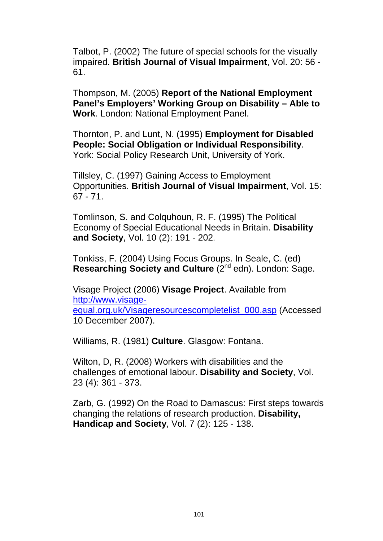Talbot, P. (2002) The future of special schools for the visually impaired. **British Journal of Visual Impairment**, Vol. 20: 56 - 61.

Thompson, M. (2005) **Report of the National Employment Panel's Employers' Working Group on Disability – Able to Work**. London: National Employment Panel.

Thornton, P. and Lunt, N. (1995) **Employment for Disabled People: Social Obligation or Individual Responsibility**. York: Social Policy Research Unit, University of York.

Tillsley, C. (1997) Gaining Access to Employment Opportunities. **British Journal of Visual Impairment**, Vol. 15: 67 - 71.

Tomlinson, S. and Colquhoun, R. F. (1995) The Political Economy of Special Educational Needs in Britain. **Disability and Society**, Vol. 10 (2): 191 - 202.

Tonkiss, F. (2004) Using Focus Groups. In Seale, C. (ed) **Researching Society and Culture** (2<sup>nd</sup> edn). London: Sage.

Visage Project (2006) **Visage Project**. Available from http://www.visageequal.org.uk/Visageresourcescompletelist\_000.asp (Accessed 10 December 2007).

Williams, R. (1981) **Culture**. Glasgow: Fontana.

Wilton, D, R. (2008) Workers with disabilities and the challenges of emotional labour. **Disability and Society**, Vol. 23 (4): 361 - 373.

Zarb, G. (1992) On the Road to Damascus: First steps towards changing the relations of research production. **Disability, Handicap and Society**, Vol. 7 (2): 125 - 138.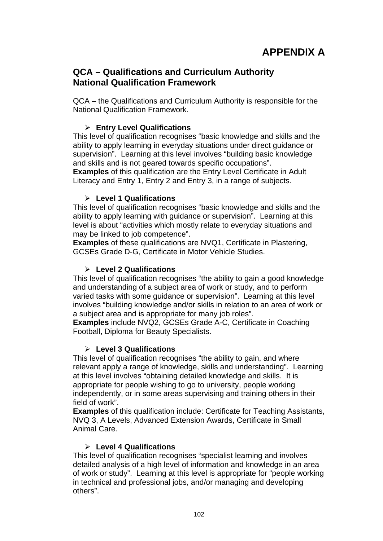## **QCA – Qualifications and Curriculum Authority National Qualification Framework**

QCA – the Qualifications and Curriculum Authority is responsible for the National Qualification Framework.

#### ¾ **Entry Level Qualifications**

This level of qualification recognises "basic knowledge and skills and the ability to apply learning in everyday situations under direct guidance or supervision". Learning at this level involves "building basic knowledge and skills and is not geared towards specific occupations".

**Examples** of this qualification are the Entry Level Certificate in Adult Literacy and Entry 1, Entry 2 and Entry 3, in a range of subjects.

#### ¾ **Level 1 Qualifications**

This level of qualification recognises "basic knowledge and skills and the ability to apply learning with guidance or supervision". Learning at this level is about "activities which mostly relate to everyday situations and may be linked to job competence".

**Examples** of these qualifications are NVQ1, Certificate in Plastering, GCSEs Grade D-G, Certificate in Motor Vehicle Studies.

#### ¾ **Level 2 Qualifications**

This level of qualification recognises "the ability to gain a good knowledge and understanding of a subject area of work or study, and to perform varied tasks with some guidance or supervision". Learning at this level involves "building knowledge and/or skills in relation to an area of work or a subject area and is appropriate for many job roles".

**Examples** include NVQ2, GCSEs Grade A-C, Certificate in Coaching Football, Diploma for Beauty Specialists.

#### ¾ **Level 3 Qualifications**

This level of qualification recognises "the ability to gain, and where relevant apply a range of knowledge, skills and understanding". Learning at this level involves "obtaining detailed knowledge and skills. It is appropriate for people wishing to go to university, people working independently, or in some areas supervising and training others in their field of work".

**Examples** of this qualification include: Certificate for Teaching Assistants, NVQ 3, A Levels, Advanced Extension Awards, Certificate in Small Animal Care.

#### ¾ **Level 4 Qualifications**

This level of qualification recognises "specialist learning and involves detailed analysis of a high level of information and knowledge in an area of work or study". Learning at this level is appropriate for "people working in technical and professional jobs, and/or managing and developing others".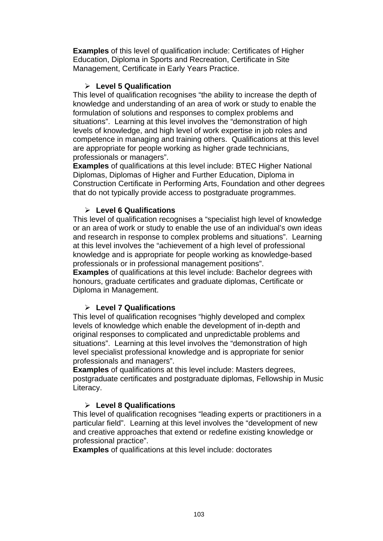**Examples** of this level of qualification include: Certificates of Higher Education, Diploma in Sports and Recreation, Certificate in Site Management, Certificate in Early Years Practice.

#### ¾ **Level 5 Qualification**

This level of qualification recognises "the ability to increase the depth of knowledge and understanding of an area of work or study to enable the formulation of solutions and responses to complex problems and situations". Learning at this level involves the "demonstration of high levels of knowledge, and high level of work expertise in job roles and competence in managing and training others. Qualifications at this level are appropriate for people working as higher grade technicians, professionals or managers".

**Examples** of qualifications at this level include: BTEC Higher National Diplomas, Diplomas of Higher and Further Education, Diploma in Construction Certificate in Performing Arts, Foundation and other degrees that do not typically provide access to postgraduate programmes.

#### ¾ **Level 6 Qualifications**

This level of qualification recognises a "specialist high level of knowledge or an area of work or study to enable the use of an individual's own ideas and research in response to complex problems and situations". Learning at this level involves the "achievement of a high level of professional knowledge and is appropriate for people working as knowledge-based professionals or in professional management positions".

**Examples** of qualifications at this level include: Bachelor degrees with honours, graduate certificates and graduate diplomas, Certificate or Diploma in Management.

#### ¾ **Level 7 Qualifications**

This level of qualification recognises "highly developed and complex levels of knowledge which enable the development of in-depth and original responses to complicated and unpredictable problems and situations". Learning at this level involves the "demonstration of high level specialist professional knowledge and is appropriate for senior professionals and managers".

**Examples** of qualifications at this level include: Masters degrees, postgraduate certificates and postgraduate diplomas, Fellowship in Music Literacy.

#### ¾ **Level 8 Qualifications**

This level of qualification recognises "leading experts or practitioners in a particular field". Learning at this level involves the "development of new and creative approaches that extend or redefine existing knowledge or professional practice".

**Examples** of qualifications at this level include: doctorates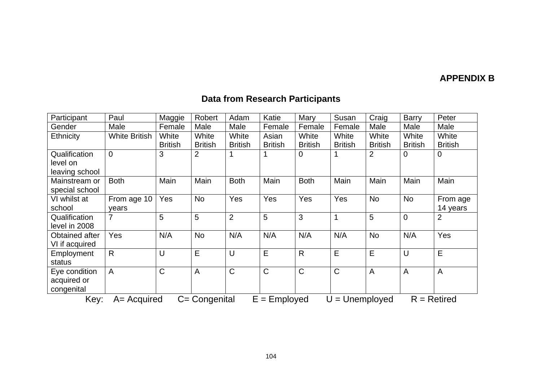#### **APPENDIX B**

# **Data from Research Participants**

| Participant                                                                                    | Paul                 | Maggie         | Robert         | Adam           | Katie          | Mary           | Susan          | Craig          | <b>Barry</b>   | Peter          |
|------------------------------------------------------------------------------------------------|----------------------|----------------|----------------|----------------|----------------|----------------|----------------|----------------|----------------|----------------|
| Gender                                                                                         | Male                 | Female         | Male           | Male           | Female         | Female         | Female         | Male           | Male           | Male           |
| Ethnicity                                                                                      | <b>White British</b> | White          | White          | White          | Asian          | White          | White          | White          | White          | White          |
|                                                                                                |                      | <b>British</b> | <b>British</b> | <b>British</b> | <b>British</b> | <b>British</b> | <b>British</b> | <b>British</b> | <b>British</b> | <b>British</b> |
| Qualification                                                                                  | $\Omega$             | 3              | 2              |                |                | $\mathbf 0$    |                | 2              | $\mathbf 0$    | 0              |
| level on                                                                                       |                      |                |                |                |                |                |                |                |                |                |
| leaving school                                                                                 |                      |                |                |                |                |                |                |                |                |                |
| Mainstream or                                                                                  | <b>Both</b>          | Main           | Main           | <b>Both</b>    | Main           | <b>Both</b>    | Main           | Main           | Main           | Main           |
| special school                                                                                 |                      |                |                |                |                |                |                |                |                |                |
| VI whilst at                                                                                   | From age 10          | Yes            | <b>No</b>      | Yes            | Yes            | Yes            | Yes            | <b>No</b>      | <b>No</b>      | From age       |
| school                                                                                         | years                |                |                |                |                |                |                |                |                | 14 years       |
| Qualification                                                                                  | 7                    | 5              | 5              | $\overline{2}$ | 5              | 3              | $\mathbf 1$    | 5              | $\overline{0}$ | $\overline{2}$ |
| level in 2008                                                                                  |                      |                |                |                |                |                |                |                |                |                |
| Obtained after                                                                                 | Yes                  | N/A            | <b>No</b>      | N/A            | N/A            | N/A            | N/A            | <b>No</b>      | N/A            | Yes            |
| VI if acquired                                                                                 |                      |                |                |                |                |                |                |                |                |                |
| Employment                                                                                     | $\mathsf{R}$         | U              | E              | U              | E              | $\mathsf{R}$   | E              | E              | U              | E              |
| status                                                                                         |                      |                |                |                |                |                |                |                |                |                |
| Eye condition                                                                                  | A                    | $\mathsf{C}$   | A              | $\mathsf{C}$   | $\mathsf{C}$   | $\mathsf C$    | $\mathsf C$    | $\overline{A}$ | A              | $\overline{A}$ |
| acquired or                                                                                    |                      |                |                |                |                |                |                |                |                |                |
| congenital                                                                                     |                      |                |                |                |                |                |                |                |                |                |
| Key:<br>C= Congenital<br>$E =$ Employed<br>$R =$ Retired<br>$A = Acquired$<br>$U =$ Unemployed |                      |                |                |                |                |                |                |                |                |                |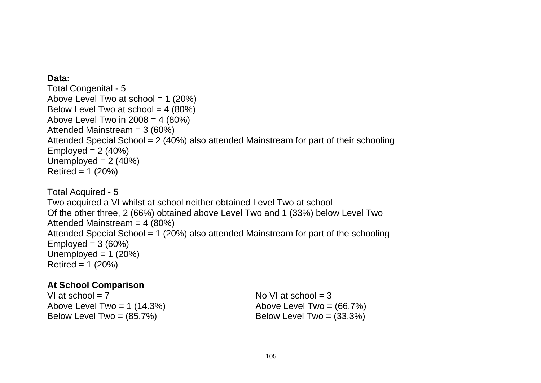#### **Data:**

Total Congenital - 5 Above Level Two at school =  $1$  (20%) Below Level Two at school  $= 4$  (80%) Above Level Two in  $2008 = 4 (80%)$ Attended Mainstream = 3 (60%) Attended Special School = 2 (40%) also attended Mainstream for part of their schooling Employed =  $2(40%)$ Unemployed  $= 2$  (40%) Retired =  $1 (20%)$ Total Acquired - 5 Two acquired a VI whilst at school neither obtained Level Two at school Of the other three, 2 (66%) obtained above Level Two and 1 (33%) below Level Two Attended Mainstream = 4 (80%) Attended Special School = 1 (20%) also attended Mainstream for part of the schooling Employed =  $3(60%)$ Unemployed =  $1 (20%)$  $Retired = 1 (20%)$ 

### **At School Comparison**

VI at school  $= 7$  No VI at school  $= 3$ Above Level Two = 1  $(14.3\%)$  Above Level Two =  $(66.7\%)$ Below Level Two =  $(85.7%)$  Below Level Two =  $(33.3%)$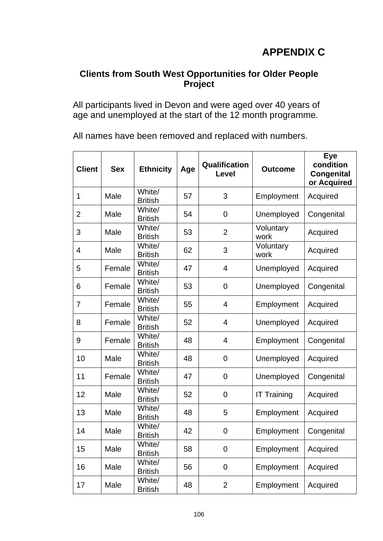# **Clients from South West Opportunities for Older People Project**

All participants lived in Devon and were aged over 40 years of age and unemployed at the start of the 12 month programme.

All names have been removed and replaced with numbers.

| <b>Client</b>  | <b>Sex</b> | <b>Ethnicity</b>         | Age | Qualification<br>Level | <b>Outcome</b>     | <b>Eye</b><br>condition<br><b>Congenital</b><br>or Acquired |
|----------------|------------|--------------------------|-----|------------------------|--------------------|-------------------------------------------------------------|
| $\mathbf 1$    | Male       | White/<br><b>British</b> | 57  | 3                      | Employment         | Acquired                                                    |
| $\overline{2}$ | Male       | White/<br><b>British</b> | 54  | 0                      | Unemployed         | Congenital                                                  |
| 3              | Male       | White/<br><b>British</b> | 53  | $\overline{2}$         | Voluntary<br>work  | Acquired                                                    |
| 4              | Male       | White/<br><b>British</b> | 62  | 3                      | Voluntary<br>work  | Acquired                                                    |
| 5              | Female     | White/<br><b>British</b> | 47  | 4                      | Unemployed         | Acquired                                                    |
| 6              | Female     | White/<br><b>British</b> | 53  | $\mathbf 0$            | Unemployed         | Congenital                                                  |
| 7              | Female     | White/<br><b>British</b> | 55  | $\overline{4}$         | Employment         | Acquired                                                    |
| 8              | Female     | White/<br><b>British</b> | 52  | 4                      | Unemployed         | Acquired                                                    |
| 9              | Female     | White/<br><b>British</b> | 48  | 4                      | Employment         | Congenital                                                  |
| 10             | Male       | White/<br><b>British</b> | 48  | $\overline{0}$         | Unemployed         | Acquired                                                    |
| 11             | Female     | White/<br><b>British</b> | 47  | 0                      | Unemployed         | Congenital                                                  |
| 12             | Male       | White/<br><b>British</b> | 52  | 0                      | <b>IT Training</b> | Acquired                                                    |
| 13             | Male       | White/<br><b>British</b> | 48  | 5                      | Employment         | Acquired                                                    |
| 14             | Male       | White/<br><b>British</b> | 42  | $\overline{0}$         | Employment         | Congenital                                                  |
| 15             | Male       | White/<br><b>British</b> | 58  | 0                      | Employment         | Acquired                                                    |
| 16             | Male       | White/<br><b>British</b> | 56  | $\mathbf 0$            | Employment         | Acquired                                                    |
| 17             | Male       | White/<br><b>British</b> | 48  | $\overline{2}$         | Employment         | Acquired                                                    |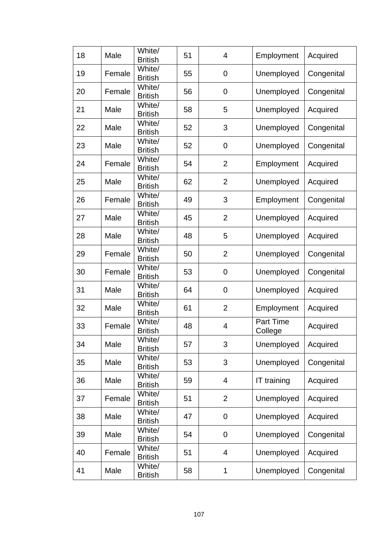| 18 | Male   | White/<br><b>British</b> | 51 | 4              | Employment                  | Acquired   |
|----|--------|--------------------------|----|----------------|-----------------------------|------------|
| 19 | Female | White/<br><b>British</b> | 55 | 0              | Unemployed                  | Congenital |
| 20 | Female | White/<br><b>British</b> | 56 | 0              | Unemployed                  | Congenital |
| 21 | Male   | White/<br><b>British</b> | 58 | 5              | Unemployed                  | Acquired   |
| 22 | Male   | White/<br><b>British</b> | 52 | 3              | Unemployed                  | Congenital |
| 23 | Male   | White/<br><b>British</b> | 52 | 0              | Unemployed                  | Congenital |
| 24 | Female | White/<br><b>British</b> | 54 | $\overline{2}$ | Employment                  | Acquired   |
| 25 | Male   | White/<br><b>British</b> | 62 | $\overline{2}$ | Unemployed                  | Acquired   |
| 26 | Female | White/<br><b>British</b> | 49 | 3              | Employment                  | Congenital |
| 27 | Male   | White/<br><b>British</b> | 45 | $\overline{2}$ | Unemployed                  | Acquired   |
| 28 | Male   | White/<br><b>British</b> | 48 | 5              | Unemployed                  | Acquired   |
| 29 | Female | White/<br><b>British</b> | 50 | $\overline{2}$ | Unemployed                  | Congenital |
| 30 | Female | White/<br><b>British</b> | 53 | 0              | Unemployed                  | Congenital |
| 31 | Male   | White/<br><b>British</b> | 64 | 0              | Unemployed                  | Acquired   |
| 32 | Male   | White/<br><b>British</b> | 61 | $\overline{2}$ | Employment                  | Acquired   |
| 33 | Female | White/<br><b>British</b> | 48 | 4              | <b>Part Time</b><br>College | Acquired   |
| 34 | Male   | White/<br><b>British</b> | 57 | 3              | Unemployed                  | Acquired   |
| 35 | Male   | White/<br><b>British</b> | 53 | 3              | Unemployed                  | Congenital |
| 36 | Male   | White/<br><b>British</b> | 59 | 4              | IT training                 | Acquired   |
| 37 | Female | White/<br><b>British</b> | 51 | $\overline{2}$ | Unemployed                  | Acquired   |
| 38 | Male   | White/<br><b>British</b> | 47 | 0              | Unemployed                  | Acquired   |
| 39 | Male   | White/<br><b>British</b> | 54 | $\overline{0}$ | Unemployed                  | Congenital |
| 40 | Female | White/<br><b>British</b> | 51 | 4              | Unemployed                  | Acquired   |
| 41 | Male   | White/<br><b>British</b> | 58 | 1              | Unemployed                  | Congenital |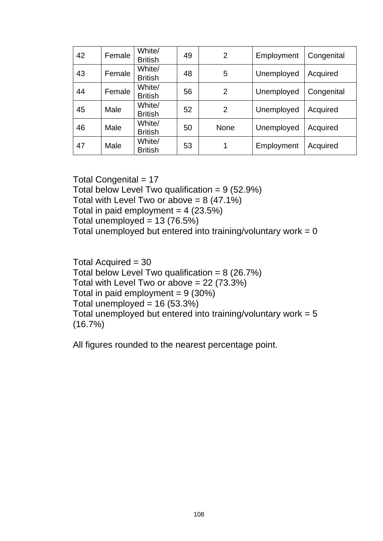| 42 | Female | White/<br><b>British</b> | 49 | $\overline{2}$ | Employment | Congenital |
|----|--------|--------------------------|----|----------------|------------|------------|
| 43 | Female | White/<br><b>British</b> | 48 | 5              | Unemployed | Acquired   |
| 44 | Female | White/<br><b>British</b> | 56 | 2              | Unemployed | Congenital |
| 45 | Male   | White/<br><b>British</b> | 52 | 2              | Unemployed | Acquired   |
| 46 | Male   | White/<br><b>British</b> | 50 | <b>None</b>    | Unemployed | Acquired   |
| 47 | Male   | White/<br><b>British</b> | 53 | 1              | Employment | Acquired   |

Total Congenital = 17 Total below Level Two qualification =  $9(52.9%)$ Total with Level Two or above  $= 8$  (47.1%) Total in paid employment =  $4$  (23.5%) Total unemployed =  $13(76.5%)$ Total unemployed but entered into training/voluntary work =  $0$ 

Total Acquired = 30 Total below Level Two qualification =  $8$  (26.7%) Total with Level Two or above = 22 (73.3%) Total in paid employment =  $9(30%)$ Total unemployed =  $16$  (53.3%) Total unemployed but entered into training/voluntary work  $= 5$ (16.7%)

All figures rounded to the nearest percentage point.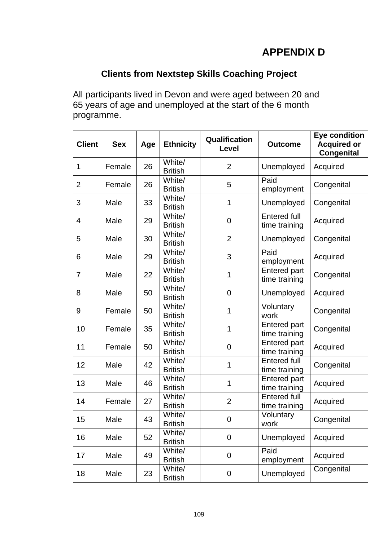# **APPENDIX D**

# **Clients from Nextstep Skills Coaching Project**

All participants lived in Devon and were aged between 20 and 65 years of age and unemployed at the start of the 6 month programme.

| <b>Client</b>  | <b>Sex</b> | Age | <b>Ethnicity</b>         | Qualification<br>Level | <b>Outcome</b>                       | <b>Eye condition</b><br><b>Acquired or</b><br><b>Congenital</b> |
|----------------|------------|-----|--------------------------|------------------------|--------------------------------------|-----------------------------------------------------------------|
| $\mathbf 1$    | Female     | 26  | White/<br><b>British</b> | $\overline{2}$         | Unemployed                           | Acquired                                                        |
| $\overline{2}$ | Female     | 26  | White/<br><b>British</b> | 5                      | Paid<br>employment                   | Congenital                                                      |
| 3              | Male       | 33  | White/<br><b>British</b> | 1                      | Unemployed                           | Congenital                                                      |
| 4              | Male       | 29  | White/<br><b>British</b> | $\mathbf 0$            | <b>Entered full</b><br>time training | Acquired                                                        |
| 5              | Male       | 30  | White/<br><b>British</b> | $\overline{2}$         | Unemployed                           | Congenital                                                      |
| 6              | Male       | 29  | White/<br><b>British</b> | 3                      | Paid<br>employment                   | Acquired                                                        |
| $\overline{7}$ | Male       | 22  | White/<br><b>British</b> | 1                      | <b>Entered part</b><br>time training | Congenital                                                      |
| 8              | Male       | 50  | White/<br><b>British</b> | $\mathbf 0$            | Unemployed                           | Acquired                                                        |
| 9              | Female     | 50  | White/<br><b>British</b> | 1                      | Voluntary<br>work                    | Congenital                                                      |
| 10             | Female     | 35  | White/<br><b>British</b> | 1                      | <b>Entered part</b><br>time training | Congenital                                                      |
| 11             | Female     | 50  | White/<br><b>British</b> | $\mathbf 0$            | <b>Entered part</b><br>time training | Acquired                                                        |
| 12             | Male       | 42  | White/<br><b>British</b> | 1                      | <b>Entered full</b><br>time training | Congenital                                                      |
| 13             | Male       | 46  | White/<br><b>British</b> | 1                      | <b>Entered part</b><br>time training | Acquired                                                        |
| 14             | Female     | 27  | White/<br><b>British</b> | $\overline{2}$         | <b>Entered full</b><br>time training | Acquired                                                        |
| 15             | Male       | 43  | White/<br><b>British</b> | $\boldsymbol{0}$       | Voluntary<br>work                    | Congenital                                                      |
| 16             | Male       | 52  | White/<br><b>British</b> | $\mathbf 0$            | Unemployed                           | Acquired                                                        |
| 17             | Male       | 49  | White/<br><b>British</b> | $\mathbf 0$            | Paid<br>employment                   | Acquired                                                        |
| 18             | Male       | 23  | White/<br><b>British</b> | $\mathbf 0$            | Unemployed                           | Congenital                                                      |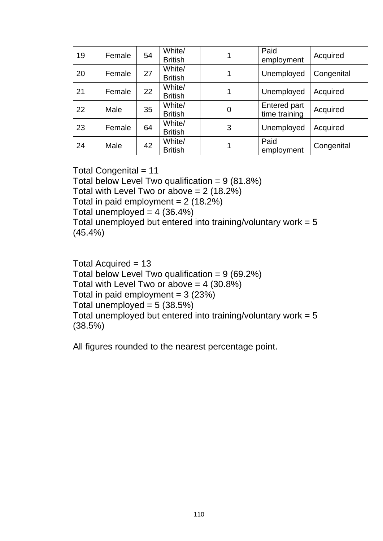| 19 | Female | 54 | White/<br><b>British</b> |   | Paid<br>employment            | Acquired   |
|----|--------|----|--------------------------|---|-------------------------------|------------|
| 20 | Female | 27 | White/<br><b>British</b> |   | Unemployed                    | Congenital |
| 21 | Female | 22 | White/<br><b>British</b> |   | Unemployed                    | Acquired   |
| 22 | Male   | 35 | White/<br><b>British</b> | 0 | Entered part<br>time training | Acquired   |
| 23 | Female | 64 | White/<br><b>British</b> | 3 | Unemployed                    | Acquired   |
| 24 | Male   | 42 | White/<br><b>British</b> |   | Paid<br>employment            | Congenital |

Total Congenital  $= 11$ 

Total below Level Two qualification =  $9(81.8%)$ 

Total with Level Two or above  $= 2$  (18.2%)

Total in paid employment =  $2(18.2%)$ 

Total unemployed =  $4 (36.4%)$ 

Total unemployed but entered into training/voluntary work  $= 5$ (45.4%)

Total Acquired = 13 Total below Level Two qualification =  $9(69.2%)$ Total with Level Two or above  $= 4$  (30.8%) Total in paid employment  $= 3$  (23%) Total unemployed  $= 5$  (38.5%) Total unemployed but entered into training/voluntary work  $= 5$ (38.5%)

All figures rounded to the nearest percentage point.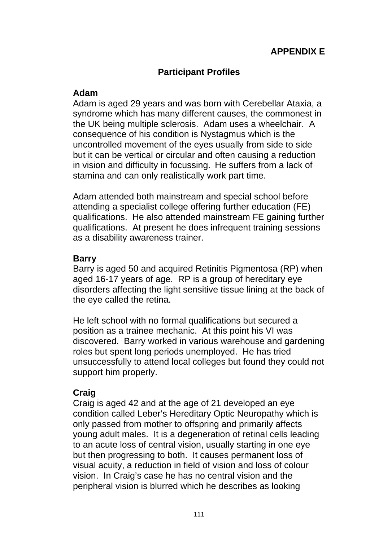# **APPENDIX E**

## **Participant Profiles**

#### **Adam**

Adam is aged 29 years and was born with Cerebellar Ataxia, a syndrome which has many different causes, the commonest in the UK being multiple sclerosis. Adam uses a wheelchair. A consequence of his condition is Nystagmus which is the uncontrolled movement of the eyes usually from side to side but it can be vertical or circular and often causing a reduction in vision and difficulty in focussing. He suffers from a lack of stamina and can only realistically work part time.

Adam attended both mainstream and special school before attending a specialist college offering further education (FE) qualifications. He also attended mainstream FE gaining further qualifications. At present he does infrequent training sessions as a disability awareness trainer.

#### **Barry**

Barry is aged 50 and acquired Retinitis Pigmentosa (RP) when aged 16-17 years of age. RP is a group of hereditary eye disorders affecting the light sensitive tissue lining at the back of the eye called the retina.

He left school with no formal qualifications but secured a position as a trainee mechanic. At this point his VI was discovered. Barry worked in various warehouse and gardening roles but spent long periods unemployed. He has tried unsuccessfully to attend local colleges but found they could not support him properly.

# **Craig**

Craig is aged 42 and at the age of 21 developed an eye condition called Leber's Hereditary Optic Neuropathy which is only passed from mother to offspring and primarily affects young adult males. It is a degeneration of retinal cells leading to an acute loss of central vision, usually starting in one eye but then progressing to both. It causes permanent loss of visual acuity, a reduction in field of vision and loss of colour vision. In Craig's case he has no central vision and the peripheral vision is blurred which he describes as looking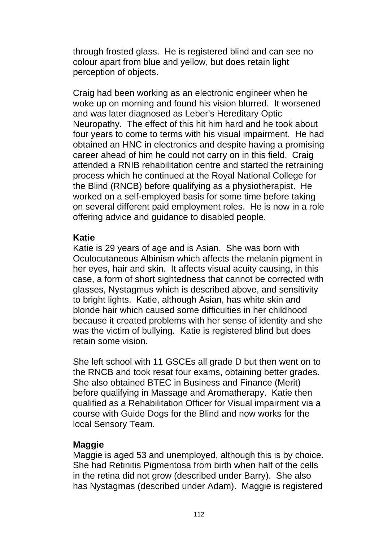through frosted glass. He is registered blind and can see no colour apart from blue and yellow, but does retain light perception of objects.

Craig had been working as an electronic engineer when he woke up on morning and found his vision blurred. It worsened and was later diagnosed as Leber's Hereditary Optic Neuropathy. The effect of this hit him hard and he took about four years to come to terms with his visual impairment. He had obtained an HNC in electronics and despite having a promising career ahead of him he could not carry on in this field. Craig attended a RNIB rehabilitation centre and started the retraining process which he continued at the Royal National College for the Blind (RNCB) before qualifying as a physiotherapist. He worked on a self-employed basis for some time before taking on several different paid employment roles. He is now in a role offering advice and guidance to disabled people.

#### **Katie**

Katie is 29 years of age and is Asian. She was born with Oculocutaneous Albinism which affects the melanin pigment in her eyes, hair and skin. It affects visual acuity causing, in this case, a form of short sightedness that cannot be corrected with glasses, Nystagmus which is described above, and sensitivity to bright lights. Katie, although Asian, has white skin and blonde hair which caused some difficulties in her childhood because it created problems with her sense of identity and she was the victim of bullying. Katie is registered blind but does retain some vision.

She left school with 11 GSCEs all grade D but then went on to the RNCB and took resat four exams, obtaining better grades. She also obtained BTEC in Business and Finance (Merit) before qualifying in Massage and Aromatherapy. Katie then qualified as a Rehabilitation Officer for Visual impairment via a course with Guide Dogs for the Blind and now works for the local Sensory Team.

### **Maggie**

Maggie is aged 53 and unemployed, although this is by choice. She had Retinitis Pigmentosa from birth when half of the cells in the retina did not grow (described under Barry). She also has Nystagmas (described under Adam). Maggie is registered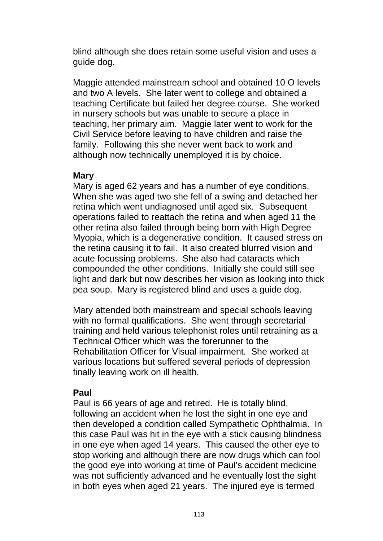blind although she does retain some useful vision and uses a guide dog.

Maggie attended mainstream school and obtained 10 O levels and two A levels. She later went to college and obtained a teaching Certificate but failed her degree course. She worked in nursery schools but was unable to secure a place in teaching, her primary aim. Maggie later went to work for the Civil Service before leaving to have children and raise the family. Following this she never went back to work and although now technically unemployed it is by choice.

#### **Mary**

Mary is aged 62 years and has a number of eye conditions. When she was aged two she fell of a swing and detached her retina which went undiagnosed until aged six. Subsequent operations failed to reattach the retina and when aged 11 the other retina also failed through being born with High Degree Myopia, which is a degenerative condition. It caused stress on the retina causing it to fail. It also created blurred vision and acute focussing problems. She also had cataracts which compounded the other conditions. Initially she could still see light and dark but now describes her vision as looking into thick pea soup. Mary is registered blind and uses a guide dog.

Mary attended both mainstream and special schools leaving with no formal qualifications. She went through secretarial training and held various telephonist roles until retraining as a Technical Officer which was the forerunner to the Rehabilitation Officer for Visual impairment. She worked at various locations but suffered several periods of depression finally leaving work on ill health.

### **Paul**

Paul is 66 years of age and retired. He is totally blind, following an accident when he lost the sight in one eye and then developed a condition called Sympathetic Ophthalmia. In this case Paul was hit in the eye with a stick causing blindness in one eye when aged 14 years. This caused the other eye to stop working and although there are now drugs which can fool the good eye into working at time of Paul's accident medicine was not sufficiently advanced and he eventually lost the sight in both eyes when aged 21 years. The injured eye is termed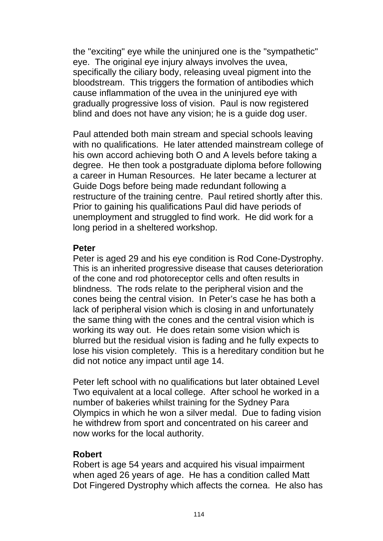the "exciting" eye while the uninjured one is the "sympathetic" eye. The original eye injury always involves the uvea, specifically the ciliary body, releasing uveal pigment into the bloodstream. This triggers the formation of antibodies which cause inflammation of the uvea in the uninjured eye with gradually progressive loss of vision. Paul is now registered blind and does not have any vision; he is a guide dog user.

Paul attended both main stream and special schools leaving with no qualifications. He later attended mainstream college of his own accord achieving both O and A levels before taking a degree. He then took a postgraduate diploma before following a career in Human Resources. He later became a lecturer at Guide Dogs before being made redundant following a restructure of the training centre. Paul retired shortly after this. Prior to gaining his qualifications Paul did have periods of unemployment and struggled to find work. He did work for a long period in a sheltered workshop.

### **Peter**

Peter is aged 29 and his eye condition is Rod Cone-Dystrophy. This is an inherited progressive disease that causes deterioration of the cone and rod photoreceptor cells and often results in blindness. The rods relate to the peripheral vision and the cones being the central vision. In Peter's case he has both a lack of peripheral vision which is closing in and unfortunately the same thing with the cones and the central vision which is working its way out. He does retain some vision which is blurred but the residual vision is fading and he fully expects to lose his vision completely. This is a hereditary condition but he did not notice any impact until age 14.

Peter left school with no qualifications but later obtained Level Two equivalent at a local college. After school he worked in a number of bakeries whilst training for the Sydney Para Olympics in which he won a silver medal. Due to fading vision he withdrew from sport and concentrated on his career and now works for the local authority.

### **Robert**

Robert is age 54 years and acquired his visual impairment when aged 26 years of age. He has a condition called Matt Dot Fingered Dystrophy which affects the cornea. He also has